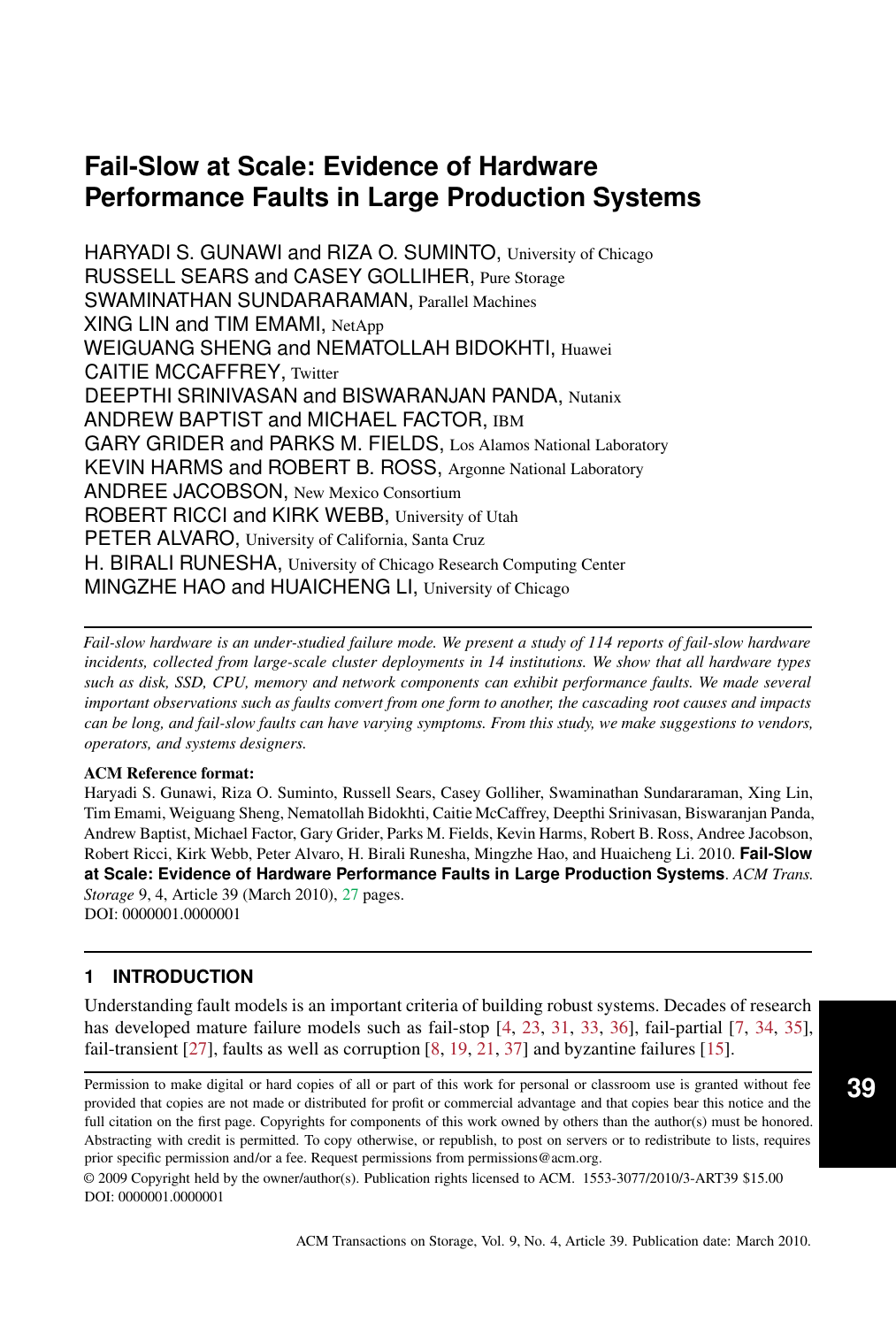HARYADI S. GUNAWI and RIZA O. SUMINTO, University of Chicago RUSSELL SEARS and CASEY GOLLIHER, Pure Storage SWAMINATHAN SUNDARARAMAN, Parallel Machines XING LIN and TIM EMAMI, NetApp WEIGUANG SHENG and NEMATOLLAH BIDOKHTI, Huawei CAITIE MCCAFFREY, Twitter DEEPTHI SRINIVASAN and BISWARANJAN PANDA, Nutanix ANDREW BAPTIST and MICHAEL FACTOR, IBM GARY GRIDER and PARKS M. FIELDS, Los Alamos National Laboratory KEVIN HARMS and ROBERT B. ROSS, Argonne National Laboratory ANDREE JACOBSON, New Mexico Consortium ROBERT RICCI and KIRK WEBB, University of Utah PETER ALVARO, University of California, Santa Cruz H. BIRALI RUNESHA, University of Chicago Research Computing Center MINGZHE HAO and HUAICHENG LI, University of Chicago

*Fail-slow hardware is an under-studied failure mode. We present a study of 114 reports of fail-slow hardware incidents, collected from large-scale cluster deployments in 14 institutions. We show that all hardware types such as disk, SSD, CPU, memory and network components can exhibit performance faults. We made several important observations such as faults convert from one form to another, the cascading root causes and impacts can be long, and fail-slow faults can have varying symptoms. From this study, we make suggestions to vendors, operators, and systems designers.*

#### ACM Reference format:

Haryadi S. Gunawi, Riza O. Suminto, Russell Sears, Casey Golliher, Swaminathan Sundararaman, Xing Lin, Tim Emami, Weiguang Sheng, Nematollah Bidokhti, Caitie McCaffrey, Deepthi Srinivasan, Biswaranjan Panda, Andrew Baptist, Michael Factor, Gary Grider, Parks M. Fields, Kevin Harms, Robert B. Ross, Andree Jacobson, Robert Ricci, Kirk Webb, Peter Alvaro, H. Birali Runesha, Mingzhe Hao, and Huaicheng Li. 2010. **Fail-Slow at Scale: Evidence of Hardware Performance Faults in Large Production Systems**. *ACM Trans. Storage* 9, 4, Article 39 (March 2010), [27](#page-26-0) pages. DOI: 0000001.0000001

## **1 INTRODUCTION**

Understanding fault models is an important criteria of building robust systems. Decades of research has developed mature failure models such as fail-stop [\[4,](#page-24-0) [23](#page-25-0), [31](#page-25-1), [33](#page-25-2), [36\]](#page-25-3), fail-partial [\[7,](#page-24-1) [34,](#page-25-4) [35\]](#page-25-5), fail-transient [\[27\]](#page-25-6), faults as well as corruption [\[8,](#page-24-2) [19,](#page-24-3) [21,](#page-24-4) [37\]](#page-25-7) and byzantine failures [\[15](#page-24-5)].

Permission to make digital or hard copies of all or part of this work for personal or classroom use is granted without fee provided that copies are not made or distributed for profit or commercial advantage and that copies bear this notice and the full citation on the first page. Copyrights for components of this work owned by others than the author(s) must be honored. Abstracting with credit is permitted. To copy otherwise, or republish, to post on servers or to redistribute to lists, requires prior specific permission and/or a fee. Request permissions from permissions@acm.org.

© 2009 Copyright held by the owner/author(s). Publication rights licensed to ACM. 1553-3077/2010/3-ART39 \$15.00 DOI: 0000001.0000001

**39**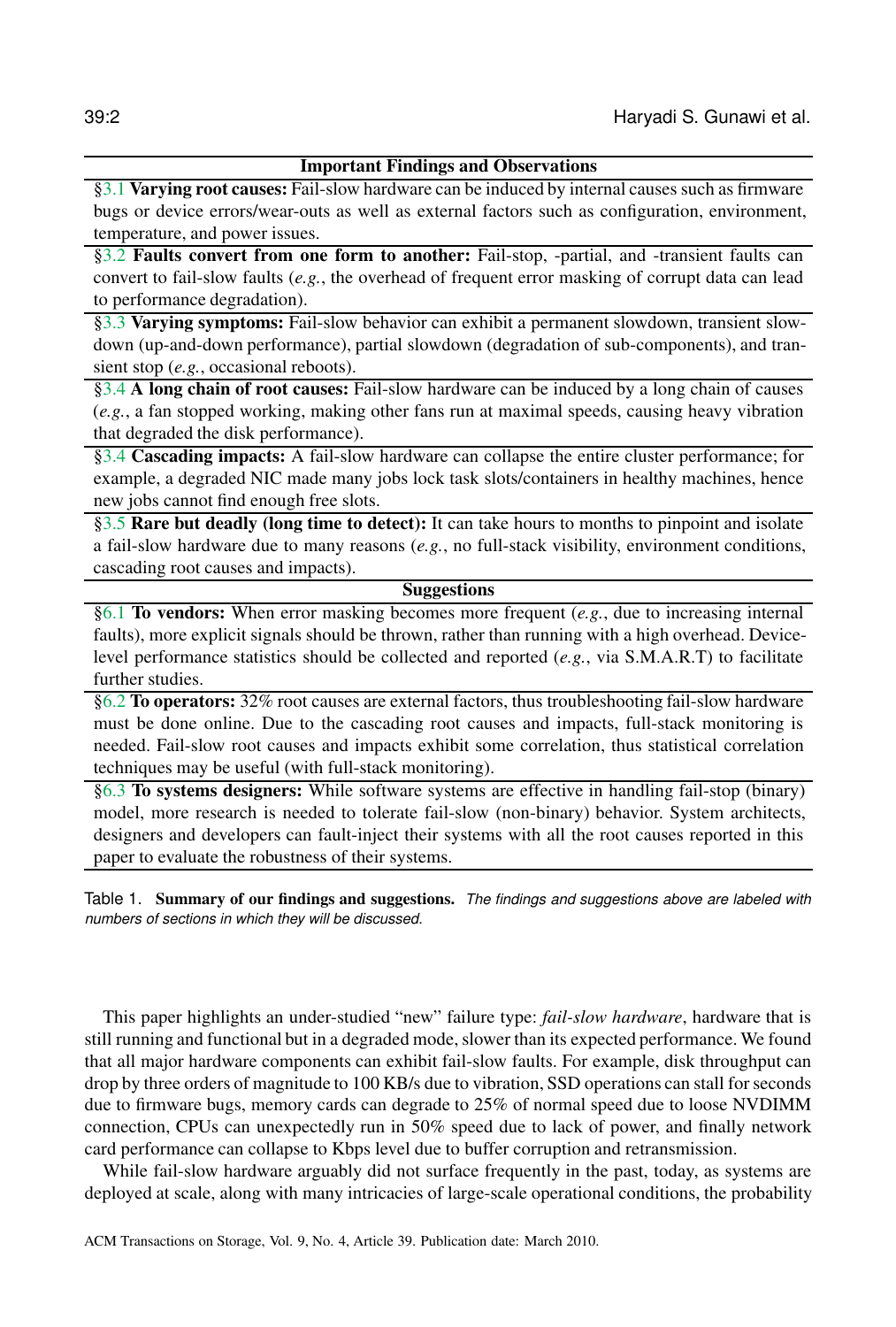#### Important Findings and Observations

<span id="page-1-0"></span>[§3.1](#page-3-0) Varying root causes: Fail-slow hardware can be induced by internal causes such as firmware bugs or device errors/wear-outs as well as external factors such as configuration, environment, temperature, and power issues.

[§3.2](#page-4-0) Faults convert from one form to another: Fail-stop, -partial, and -transient faults can convert to fail-slow faults (*e.g.*, the overhead of frequent error masking of corrupt data can lead to performance degradation).

[§3.3](#page-4-1) Varying symptoms: Fail-slow behavior can exhibit a permanent slowdown, transient slowdown (up-and-down performance), partial slowdown (degradation of sub-components), and transient stop (*e.g.*, occasional reboots).

[§3.4](#page-7-0) A long chain of root causes: Fail-slow hardware can be induced by a long chain of causes (*e.g.*, a fan stopped working, making other fans run at maximal speeds, causing heavy vibration that degraded the disk performance).

[§3.4](#page-7-0) Cascading impacts: A fail-slow hardware can collapse the entire cluster performance; for example, a degraded NIC made many jobs lock task slots/containers in healthy machines, hence new jobs cannot find enough free slots.

[§3.5](#page-8-0) Rare but deadly (long time to detect): It can take hours to months to pinpoint and isolate a fail-slow hardware due to many reasons (*e.g.*, no full-stack visibility, environment conditions, cascading root causes and impacts).

#### **Suggestions**

[§6.1](#page-15-0) To vendors: When error masking becomes more frequent (*e.g.*, due to increasing internal faults), more explicit signals should be thrown, rather than running with a high overhead. Devicelevel performance statistics should be collected and reported (*e.g.*, via S.M.A.R.T) to facilitate further studies.

[§6.2](#page-18-0) To operators: 32% root causes are external factors, thus troubleshooting fail-slow hardware must be done online. Due to the cascading root causes and impacts, full-stack monitoring is needed. Fail-slow root causes and impacts exhibit some correlation, thus statistical correlation techniques may be useful (with full-stack monitoring).

[§6.3](#page-19-0) To systems designers: While software systems are effective in handling fail-stop (binary) model, more research is needed to tolerate fail-slow (non-binary) behavior. System architects, designers and developers can fault-inject their systems with all the root causes reported in this paper to evaluate the robustness of their systems.

Table 1. Summary of our findings and suggestions. *The findings and suggestions above are labeled with numbers of sections in which they will be discussed.*

This paper highlights an under-studied "new" failure type: *fail-slow hardware*, hardware that is still running and functional but in a degraded mode, slower than its expected performance. We found that all major hardware components can exhibit fail-slow faults. For example, disk throughput can drop by three orders of magnitude to 100 KB/s due to vibration, SSD operations can stall for seconds due to firmware bugs, memory cards can degrade to 25% of normal speed due to loose NVDIMM connection, CPUs can unexpectedly run in 50% speed due to lack of power, and finally network card performance can collapse to Kbps level due to buffer corruption and retransmission.

While fail-slow hardware arguably did not surface frequently in the past, today, as systems are deployed at scale, along with many intricacies of large-scale operational conditions, the probability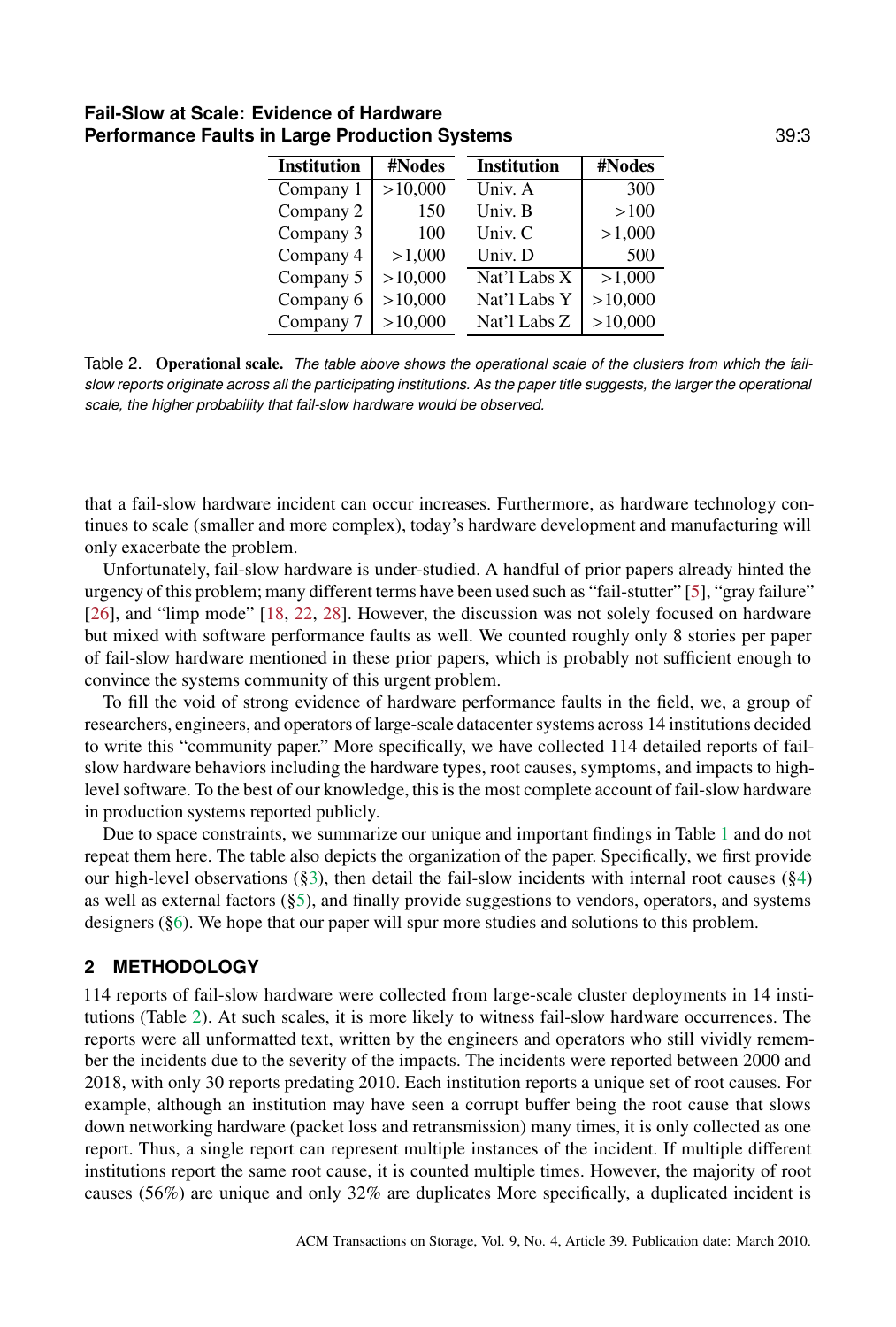<span id="page-2-0"></span>

| <b>Institution</b> | #Nodes  | <b>Institution</b> | #Nodes  |
|--------------------|---------|--------------------|---------|
| Company 1          | >10,000 | Univ. A            | 300     |
| Company 2          | 150     | Univ. B            | >100    |
| Company 3          | 100     | Univ. C            | >1,000  |
| Company 4          | >1,000  | Univ. D            | 500     |
| Company 5          | >10,000 | Nat'l Labs X       | >1,000  |
| Company 6          | >10,000 | Nat'l Labs Y       | >10,000 |
| Company 7          | >10,000 | Nat'l Labs Z       | >10,000 |

Table 2. Operational scale. *The table above shows the operational scale of the clusters from which the failslow reports originate across all the participating institutions. As the paper title suggests, the larger the operational scale, the higher probability that fail-slow hardware would be observed.*

that a fail-slow hardware incident can occur increases. Furthermore, as hardware technology continues to scale (smaller and more complex), today's hardware development and manufacturing will only exacerbate the problem.

Unfortunately, fail-slow hardware is under-studied. A handful of prior papers already hinted the urgency of this problem; many different terms have been used such as "fail-stutter" [\[5\]](#page-24-6), "gray failure" [\[26](#page-25-8)], and "limp mode" [\[18](#page-24-7), [22,](#page-24-8) [28](#page-25-9)]. However, the discussion was not solely focused on hardware but mixed with software performance faults as well. We counted roughly only 8 stories per paper of fail-slow hardware mentioned in these prior papers, which is probably not sufficient enough to convince the systems community of this urgent problem.

To fill the void of strong evidence of hardware performance faults in the field, we, a group of researchers, engineers, and operators of large-scale datacenter systems across 14 institutions decided to write this "community paper." More specifically, we have collected 114 detailed reports of failslow hardware behaviors including the hardware types, root causes, symptoms, and impacts to highlevel software. To the best of our knowledge, this is the most complete account of fail-slow hardware in production systems reported publicly.

Due to space constraints, we summarize our unique and important findings in Table [1](#page-1-0) and do not repeat them here. The table also depicts the organization of the paper. Specifically, we first provide our high-level observations ([§3\)](#page-3-1), then detail the fail-slow incidents with internal root causes ([§4\)](#page-9-0) as well as external factors ([§5\)](#page-13-0), and finally provide suggestions to vendors, operators, and systems designers ([§6\)](#page-15-1). We hope that our paper will spur more studies and solutions to this problem.

## **2 METHODOLOGY**

114 reports of fail-slow hardware were collected from large-scale cluster deployments in 14 institutions (Table [2\)](#page-2-0). At such scales, it is more likely to witness fail-slow hardware occurrences. The reports were all unformatted text, written by the engineers and operators who still vividly remember the incidents due to the severity of the impacts. The incidents were reported between 2000 and 2018, with only 30 reports predating 2010. Each institution reports a unique set of root causes. For example, although an institution may have seen a corrupt buffer being the root cause that slows down networking hardware (packet loss and retransmission) many times, it is only collected as one report. Thus, a single report can represent multiple instances of the incident. If multiple different institutions report the same root cause, it is counted multiple times. However, the majority of root causes (56%) are unique and only 32% are duplicates More specifically, a duplicated incident is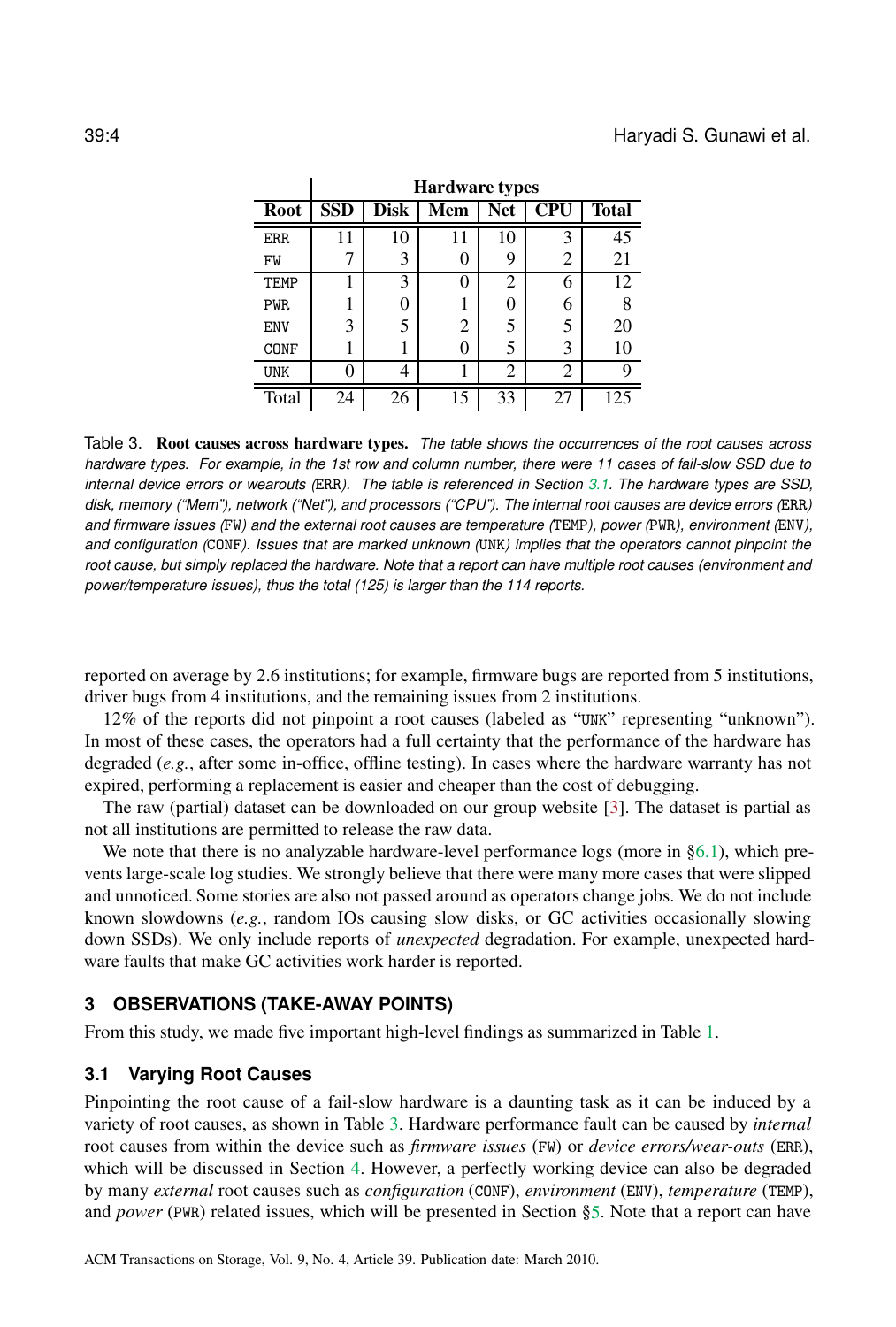<span id="page-3-2"></span>

|             | <b>Hardware types</b> |             |     |            |     |              |
|-------------|-----------------------|-------------|-----|------------|-----|--------------|
| <b>Root</b> | <b>SSD</b>            | <b>Disk</b> | Mem | <b>Net</b> | CPU | <b>Total</b> |
| <b>ERR</b>  | 11                    | 10          | 11  | 10         | 3   | 45           |
| FW          |                       | 3           | 0   | 9          | 2   | 21           |
| TEMP        |                       | 3           | 0   | 2          | 6   | 12           |
| <b>PWR</b>  |                       |             |     | 0          | 6   |              |
| <b>ENV</b>  | 3                     | 5           | 2   | 5          | 5   | 20           |
| CONF        |                       |             | 0   | 5          | 3   | 10           |
| <b>UNK</b>  | 0                     |             |     | 2          | 2   | 9            |
| Total       | 24                    | 26          | 15  | 33         | 27  | 125          |

Table 3. Root causes across hardware types. *The table shows the occurrences of the root causes across hardware types. For example, in the 1st row and column number, there were 11 cases of fail-slow SSD due to internal device errors or wearouts (*ERR*). The table is referenced in Section [3.1.](#page-3-0) The hardware types are SSD, disk, memory ("Mem"), network ("Net"), and processors ("CPU"). The internal root causes are device errors (*ERR*) and firmware issues (*FW*) and the external root causes are temperature (*TEMP*), power (*PWR*), environment (*ENV*), and configuration (*CONF*). Issues that are marked unknown (*UNK*) implies that the operators cannot pinpoint the root cause, but simply replaced the hardware. Note that a report can have multiple root causes (environment and power/temperature issues), thus the total (125) is larger than the 114 reports.*

reported on average by 2.6 institutions; for example, firmware bugs are reported from 5 institutions, driver bugs from 4 institutions, and the remaining issues from 2 institutions.

12% of the reports did not pinpoint a root causes (labeled as "UNK" representing "unknown"). In most of these cases, the operators had a full certainty that the performance of the hardware has degraded (*e.g.*, after some in-office, offline testing). In cases where the hardware warranty has not expired, performing a replacement is easier and cheaper than the cost of debugging.

The raw (partial) dataset can be downloaded on our group website [\[3\]](#page-24-9). The dataset is partial as not all institutions are permitted to release the raw data.

We note that there is no analyzable hardware-level performance logs (more in [§6.1\)](#page-15-0), which prevents large-scale log studies. We strongly believe that there were many more cases that were slipped and unnoticed. Some stories are also not passed around as operators change jobs. We do not include known slowdowns (*e.g.*, random IOs causing slow disks, or GC activities occasionally slowing down SSDs). We only include reports of *unexpected* degradation. For example, unexpected hardware faults that make GC activities work harder is reported.

#### <span id="page-3-1"></span>**3 OBSERVATIONS (TAKE-AWAY POINTS)**

From this study, we made five important high-level findings as summarized in Table [1.](#page-1-0)

#### <span id="page-3-0"></span>**3.1 Varying Root Causes**

Pinpointing the root cause of a fail-slow hardware is a daunting task as it can be induced by a variety of root causes, as shown in Table [3.](#page-3-2) Hardware performance fault can be caused by *internal* root causes from within the device such as *firmware issues* (FW) or *device errors/wear-outs* (ERR), which will be discussed in Section [4.](#page-9-0) However, a perfectly working device can also be degraded by many *external* root causes such as *configuration* (CONF), *environment* (ENV), *temperature* (TEMP), and *power* (PWR) related issues, which will be presented in Section [§5.](#page-13-0) Note that a report can have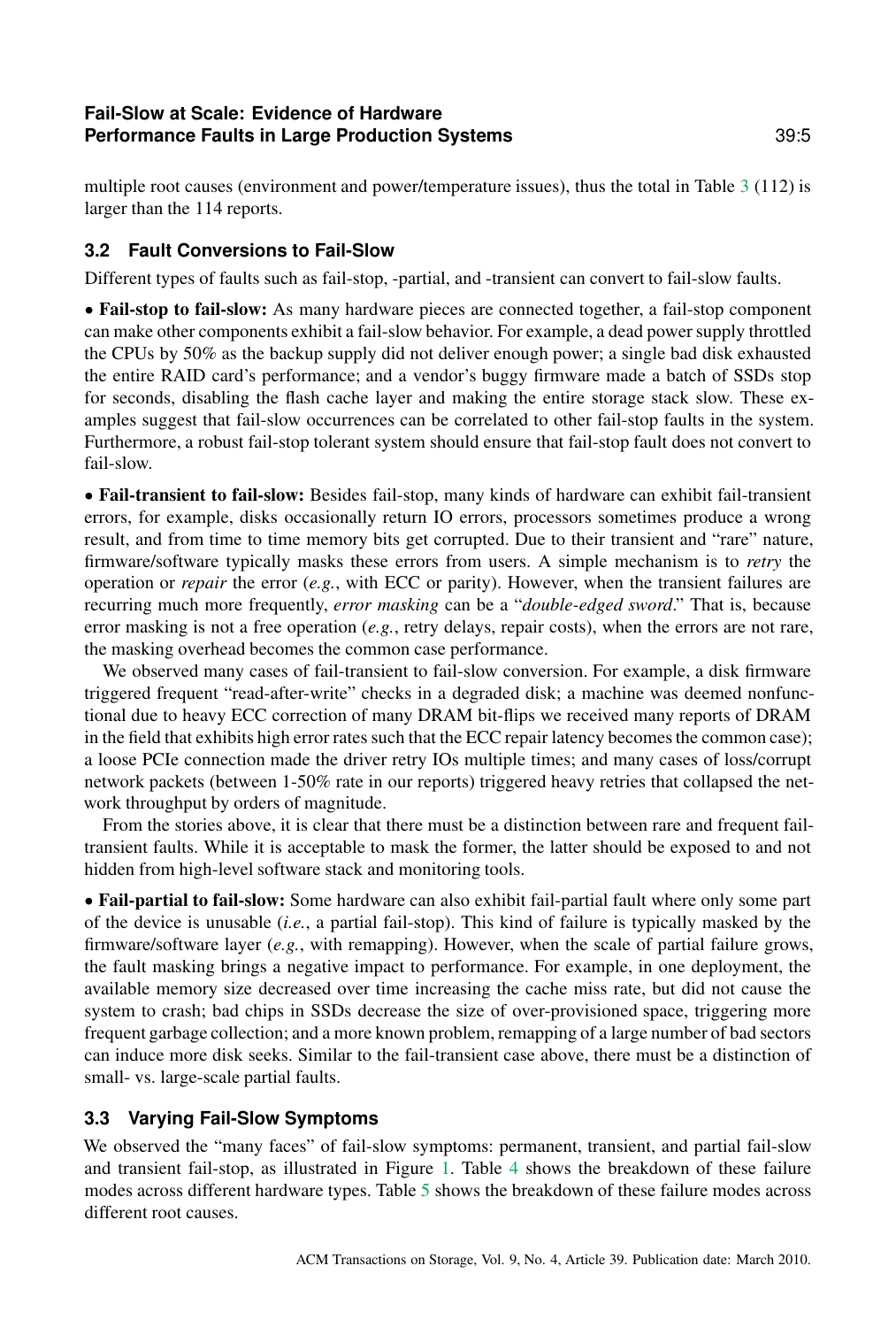multiple root causes (environment and power/temperature issues), thus the total in Table [3](#page-3-2) (112) is larger than the 114 reports.

## <span id="page-4-0"></span>**3.2 Fault Conversions to Fail-Slow**

Different types of faults such as fail-stop, -partial, and -transient can convert to fail-slow faults.

• Fail-stop to fail-slow: As many hardware pieces are connected together, a fail-stop component can make other components exhibit a fail-slow behavior. For example, a dead power supply throttled the CPUs by 50% as the backup supply did not deliver enough power; a single bad disk exhausted the entire RAID card's performance; and a vendor's buggy firmware made a batch of SSDs stop for seconds, disabling the flash cache layer and making the entire storage stack slow. These examples suggest that fail-slow occurrences can be correlated to other fail-stop faults in the system. Furthermore, a robust fail-stop tolerant system should ensure that fail-stop fault does not convert to fail-slow.

• Fail-transient to fail-slow: Besides fail-stop, many kinds of hardware can exhibit fail-transient errors, for example, disks occasionally return IO errors, processors sometimes produce a wrong result, and from time to time memory bits get corrupted. Due to their transient and "rare" nature, firmware/software typically masks these errors from users. A simple mechanism is to *retry* the operation or *repair* the error (*e.g.*, with ECC or parity). However, when the transient failures are recurring much more frequently, *error masking* can be a "*double-edged sword*." That is, because error masking is not a free operation (*e.g.*, retry delays, repair costs), when the errors are not rare, the masking overhead becomes the common case performance.

We observed many cases of fail-transient to fail-slow conversion. For example, a disk firmware triggered frequent "read-after-write" checks in a degraded disk; a machine was deemed nonfunctional due to heavy ECC correction of many DRAM bit-flips we received many reports of DRAM in the field that exhibits high error rates such that the ECC repair latency becomes the common case); a loose PCIe connection made the driver retry IOs multiple times; and many cases of loss/corrupt network packets (between 1-50% rate in our reports) triggered heavy retries that collapsed the network throughput by orders of magnitude.

From the stories above, it is clear that there must be a distinction between rare and frequent failtransient faults. While it is acceptable to mask the former, the latter should be exposed to and not hidden from high-level software stack and monitoring tools.

• Fail-partial to fail-slow: Some hardware can also exhibit fail-partial fault where only some part of the device is unusable (*i.e.*, a partial fail-stop). This kind of failure is typically masked by the firmware/software layer (*e.g.*, with remapping). However, when the scale of partial failure grows, the fault masking brings a negative impact to performance. For example, in one deployment, the available memory size decreased over time increasing the cache miss rate, but did not cause the system to crash; bad chips in SSDs decrease the size of over-provisioned space, triggering more frequent garbage collection; and a more known problem, remapping of a large number of bad sectors can induce more disk seeks. Similar to the fail-transient case above, there must be a distinction of small- vs. large-scale partial faults.

## <span id="page-4-1"></span>**3.3 Varying Fail-Slow Symptoms**

We observed the "many faces" of fail-slow symptoms: permanent, transient, and partial fail-slow and transient fail-stop, as illustrated in Figure [1.](#page-5-0) Table [4](#page-6-0) shows the breakdown of these failure modes across different hardware types. Table [5](#page-6-1) shows the breakdown of these failure modes across different root causes.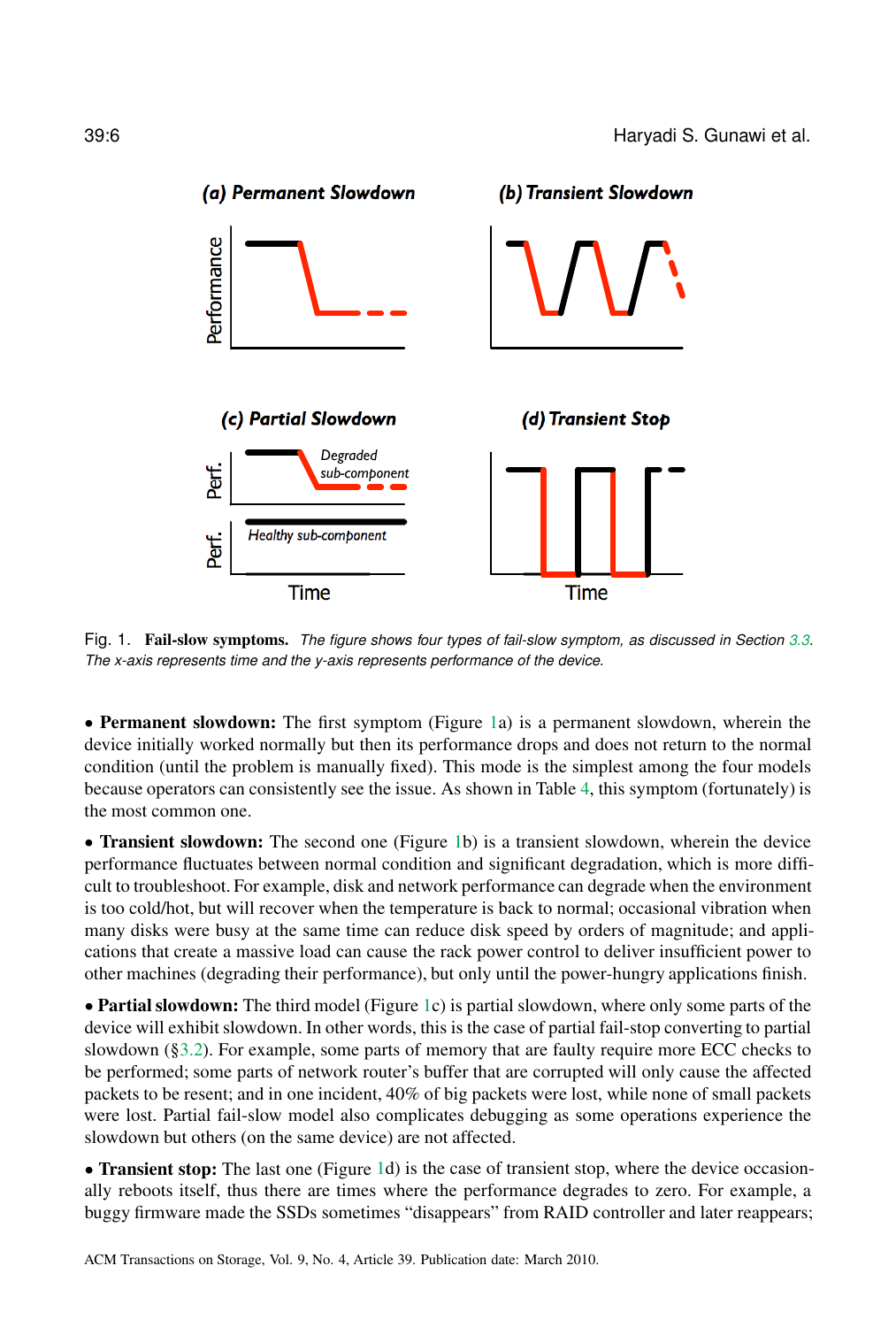<span id="page-5-0"></span>

Fig. 1. Fail-slow symptoms. *The figure shows four types of fail-slow symptom, as discussed in Section [3.3.](#page-4-1) The x-axis represents time and the y-axis represents performance of the device.*

• Permanent slowdown: The first symptom (Figure [1a](#page-5-0)) is a permanent slowdown, wherein the device initially worked normally but then its performance drops and does not return to the normal condition (until the problem is manually fixed). This mode is the simplest among the four models because operators can consistently see the issue. As shown in Table [4,](#page-6-0) this symptom (fortunately) is the most common one.

• Transient slowdown: The second one (Figure [1b](#page-5-0)) is a transient slowdown, wherein the device performance fluctuates between normal condition and significant degradation, which is more difficult to troubleshoot. For example, disk and network performance can degrade when the environment is too cold/hot, but will recover when the temperature is back to normal; occasional vibration when many disks were busy at the same time can reduce disk speed by orders of magnitude; and applications that create a massive load can cause the rack power control to deliver insufficient power to other machines (degrading their performance), but only until the power-hungry applications finish.

• Partial slowdown: The third model (Figure [1c](#page-5-0)) is partial slowdown, where only some parts of the device will exhibit slowdown. In other words, this is the case of partial fail-stop converting to partial slowdown ([§3.2\)](#page-4-0). For example, some parts of memory that are faulty require more ECC checks to be performed; some parts of network router's buffer that are corrupted will only cause the affected packets to be resent; and in one incident, 40% of big packets were lost, while none of small packets were lost. Partial fail-slow model also complicates debugging as some operations experience the slowdown but others (on the same device) are not affected.

• Transient stop: The last one (Figure [1d](#page-5-0)) is the case of transient stop, where the device occasionally reboots itself, thus there are times where the performance degrades to zero. For example, a buggy firmware made the SSDs sometimes "disappears" from RAID controller and later reappears;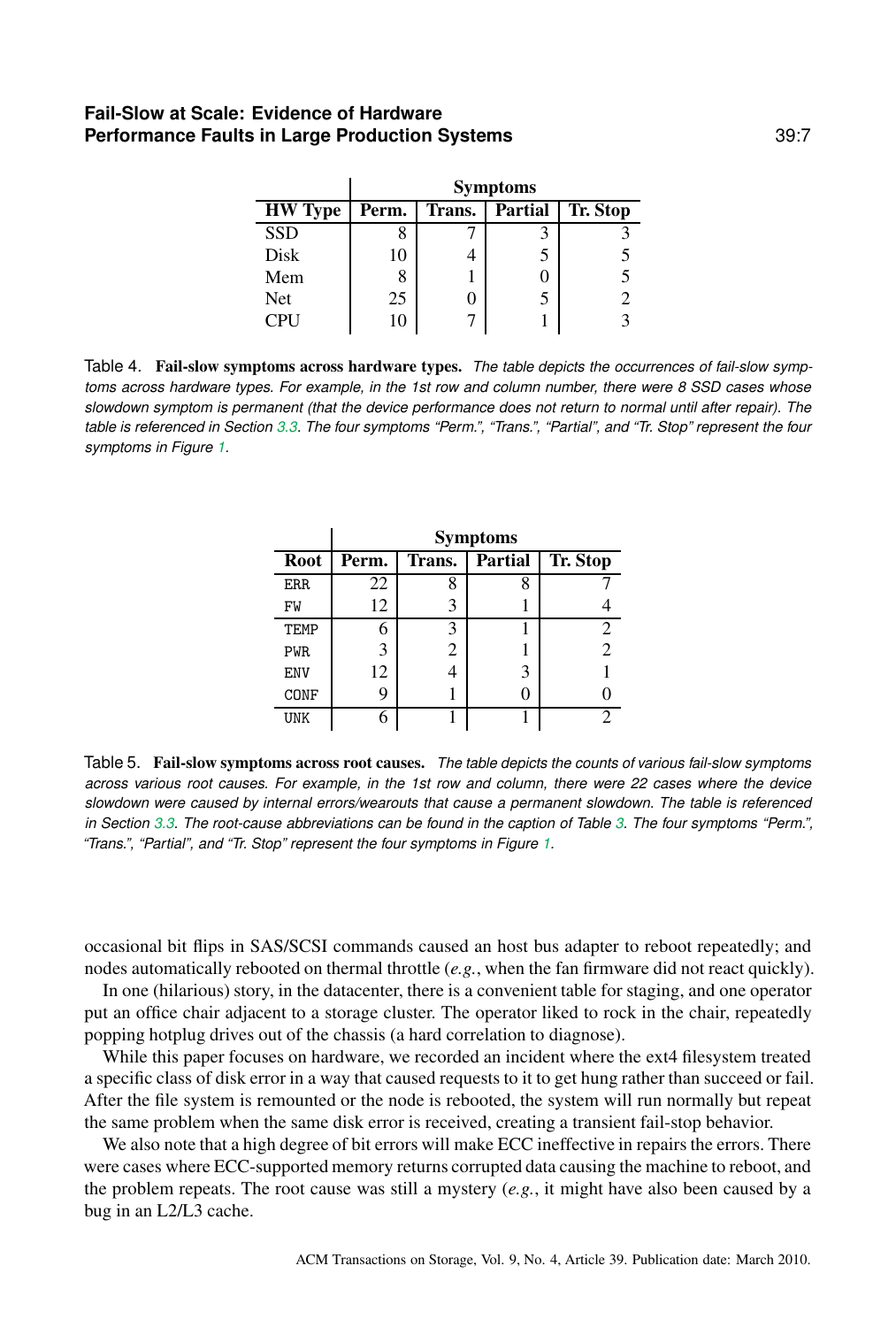<span id="page-6-0"></span>

|                | <b>Symptoms</b> |        |                |          |
|----------------|-----------------|--------|----------------|----------|
| <b>HW Type</b> | Perm.           | Trans. | <b>Partial</b> | Tr. Stop |
| <b>SSD</b>     |                 |        |                |          |
| Disk           | 10              |        | 5              |          |
| Mem            |                 |        |                |          |
| <b>Net</b>     | 25              |        | 5              |          |
| <b>CPU</b>     |                 |        |                |          |

<span id="page-6-1"></span>Table 4. Fail-slow symptoms across hardware types. *The table depicts the occurrences of fail-slow symptoms across hardware types. For example, in the 1st row and column number, there were 8 SSD cases whose slowdown symptom is permanent (that the device performance does not return to normal until after repair). The table is referenced in Section [3.3.](#page-4-1) The four symptoms "Perm.", "Trans.", "Partial", and "Tr. Stop" represent the four symptoms in Figure [1.](#page-5-0)*

|             | <b>Symptoms</b> |                |                |                 |
|-------------|-----------------|----------------|----------------|-----------------|
| <b>Root</b> | Perm.           | Trans.         | <b>Partial</b> | <b>Tr.</b> Stop |
| <b>ERR</b>  | 22              | 8              | 8              |                 |
| FW          | 12              | 3              |                |                 |
| <b>TEMP</b> |                 | 3              |                | 2               |
| <b>PWR</b>  | 3               | $\overline{2}$ |                | $\mathfrak{D}$  |
| <b>ENV</b>  | 12              | 4              | 3              |                 |
| CONF        | 9               |                | 0              |                 |
| <b>UNK</b>  |                 |                |                |                 |

Table 5. Fail-slow symptoms across root causes. *The table depicts the counts of various fail-slow symptoms across various root causes. For example, in the 1st row and column, there were 22 cases where the device slowdown were caused by internal errors/wearouts that cause a permanent slowdown. The table is referenced in Section [3.3.](#page-4-1) The root-cause abbreviations can be found in the caption of Table [3.](#page-3-2) The four symptoms "Perm.", "Trans.", "Partial", and "Tr. Stop" represent the four symptoms in Figure [1.](#page-5-0)*

occasional bit flips in SAS/SCSI commands caused an host bus adapter to reboot repeatedly; and nodes automatically rebooted on thermal throttle (*e.g.*, when the fan firmware did not react quickly).

In one (hilarious) story, in the datacenter, there is a convenient table for staging, and one operator put an office chair adjacent to a storage cluster. The operator liked to rock in the chair, repeatedly popping hotplug drives out of the chassis (a hard correlation to diagnose).

While this paper focuses on hardware, we recorded an incident where the ext4 filesystem treated a specific class of disk error in a way that caused requests to it to get hung rather than succeed or fail. After the file system is remounted or the node is rebooted, the system will run normally but repeat the same problem when the same disk error is received, creating a transient fail-stop behavior.

We also note that a high degree of bit errors will make ECC ineffective in repairs the errors. There were cases where ECC-supported memory returns corrupted data causing the machine to reboot, and the problem repeats. The root cause was still a mystery (*e.g.*, it might have also been caused by a bug in an L2/L3 cache.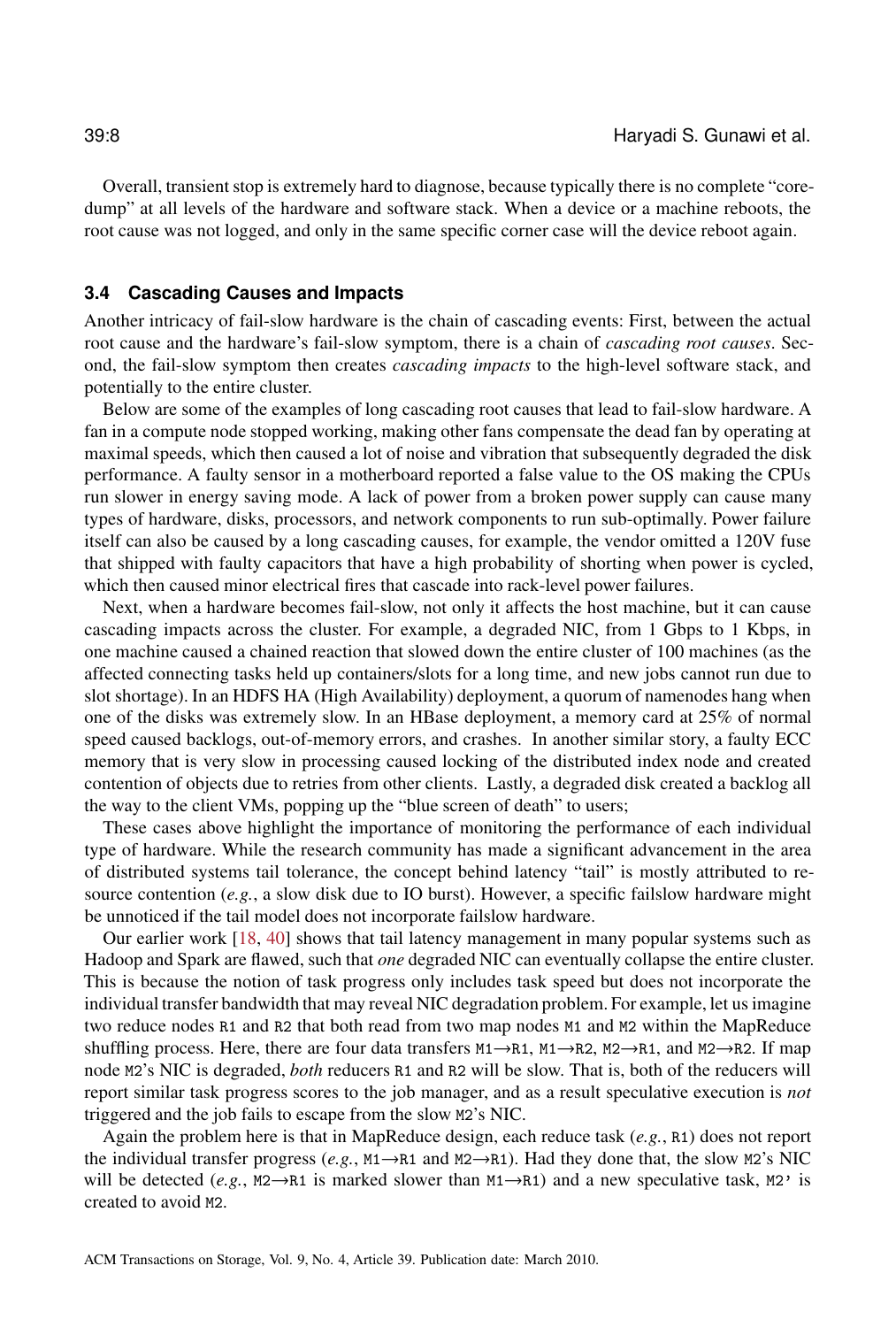Overall, transient stop is extremely hard to diagnose, because typically there is no complete "coredump" at all levels of the hardware and software stack. When a device or a machine reboots, the root cause was not logged, and only in the same specific corner case will the device reboot again.

#### <span id="page-7-0"></span>**3.4 Cascading Causes and Impacts**

Another intricacy of fail-slow hardware is the chain of cascading events: First, between the actual root cause and the hardware's fail-slow symptom, there is a chain of *cascading root causes*. Second, the fail-slow symptom then creates *cascading impacts* to the high-level software stack, and potentially to the entire cluster.

Below are some of the examples of long cascading root causes that lead to fail-slow hardware. A fan in a compute node stopped working, making other fans compensate the dead fan by operating at maximal speeds, which then caused a lot of noise and vibration that subsequently degraded the disk performance. A faulty sensor in a motherboard reported a false value to the OS making the CPUs run slower in energy saving mode. A lack of power from a broken power supply can cause many types of hardware, disks, processors, and network components to run sub-optimally. Power failure itself can also be caused by a long cascading causes, for example, the vendor omitted a 120V fuse that shipped with faulty capacitors that have a high probability of shorting when power is cycled, which then caused minor electrical fires that cascade into rack-level power failures.

Next, when a hardware becomes fail-slow, not only it affects the host machine, but it can cause cascading impacts across the cluster. For example, a degraded NIC, from 1 Gbps to 1 Kbps, in one machine caused a chained reaction that slowed down the entire cluster of 100 machines (as the affected connecting tasks held up containers/slots for a long time, and new jobs cannot run due to slot shortage). In an HDFS HA (High Availability) deployment, a quorum of namenodes hang when one of the disks was extremely slow. In an HBase deployment, a memory card at 25% of normal speed caused backlogs, out-of-memory errors, and crashes. In another similar story, a faulty ECC memory that is very slow in processing caused locking of the distributed index node and created contention of objects due to retries from other clients. Lastly, a degraded disk created a backlog all the way to the client VMs, popping up the "blue screen of death" to users;

These cases above highlight the importance of monitoring the performance of each individual type of hardware. While the research community has made a significant advancement in the area of distributed systems tail tolerance, the concept behind latency "tail" is mostly attributed to resource contention (*e.g.*, a slow disk due to IO burst). However, a specific failslow hardware might be unnoticed if the tail model does not incorporate failslow hardware.

Our earlier work [\[18](#page-24-7), [40\]](#page-25-10) shows that tail latency management in many popular systems such as Hadoop and Spark are flawed, such that *one* degraded NIC can eventually collapse the entire cluster. This is because the notion of task progress only includes task speed but does not incorporate the individual transfer bandwidth that may reveal NIC degradation problem. For example, let us imagine two reduce nodes R1 and R2 that both read from two map nodes M1 and M2 within the MapReduce shuffling process. Here, there are four data transfers M1→R1, M1→R2, M2→R1, and M2→R2. If map node M2's NIC is degraded, *both* reducers R1 and R2 will be slow. That is, both of the reducers will report similar task progress scores to the job manager, and as a result speculative execution is *not* triggered and the job fails to escape from the slow M2's NIC.

Again the problem here is that in MapReduce design, each reduce task (*e.g.*, R1) does not report the individual transfer progress  $(e.g., M1 \rightarrow R1$  and  $M2 \rightarrow R1)$ . Had they done that, the slow  $M2$ 's NIC will be detected (*e.g.*, M2→R1 is marked slower than M1→R1) and a new speculative task, M2<sup> $\prime$ </sup> is created to avoid M2.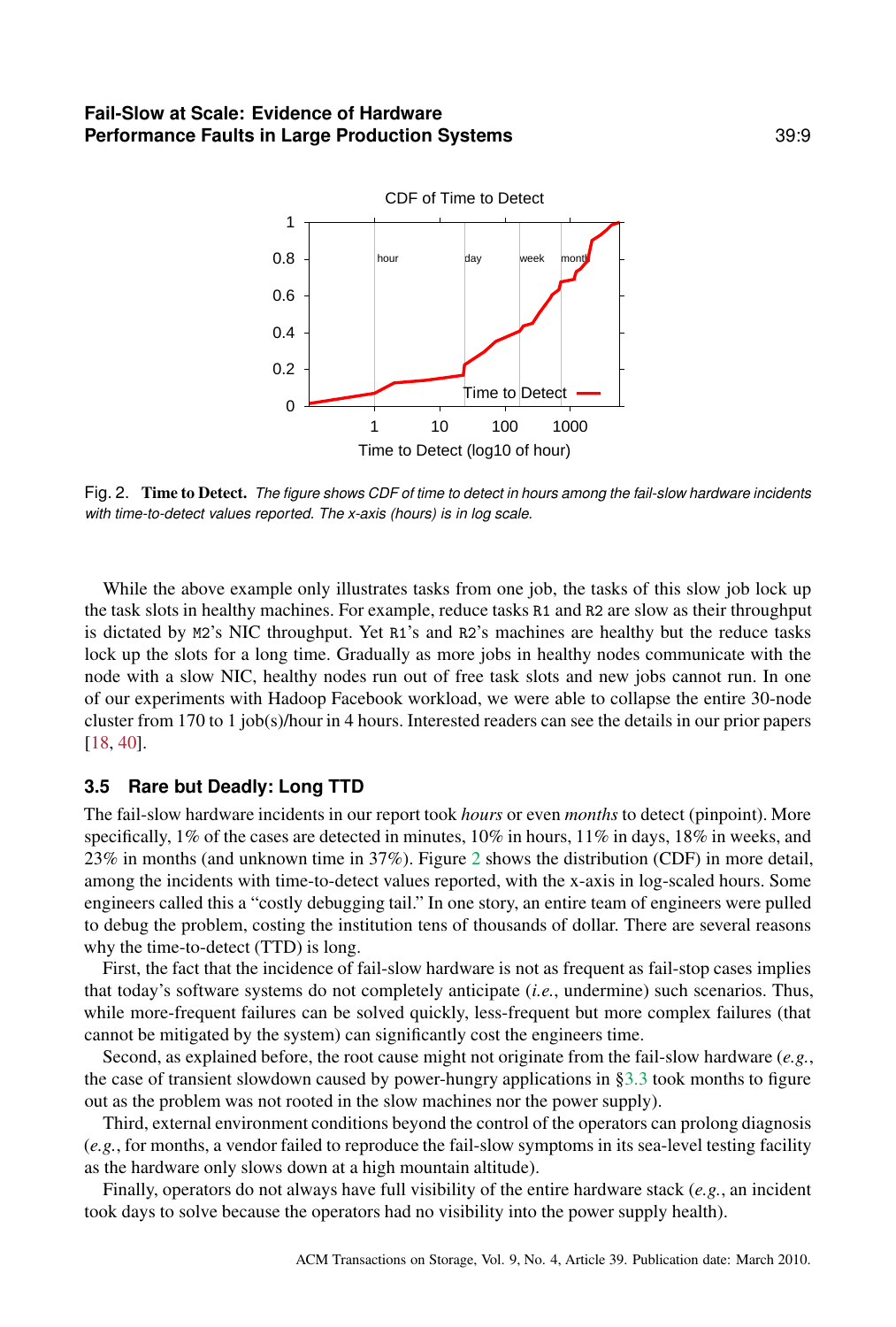<span id="page-8-1"></span>

Fig. 2. Time to Detect. *The figure shows CDF of time to detect in hours among the fail-slow hardware incidents* with time-to-detect values reported. The x-axis (hours) is in log scale.

While the above example only illustrates tasks from one job, the tasks of this slow job lock up the task slots in healthy machines. For example, reduce tasks R1 and R2 are slow as their throughput is dictated by M2's NIC throughput. Yet R1's and R2's machines are healthy but the reduce tasks lock up the slots for a long time. Gradually as more jobs in healthy nodes communicate with the node with a slow NIC, healthy nodes run out of free task slots and new jobs cannot run. In one of our experiments with Hadoop Facebook workload, we were able to collapse the entire 30-node cluster from 170 to 1 job(s)/hour in 4 hours. Interested readers can see the details in our prior papers [\[18](#page-24-7), [40](#page-25-10)].

#### <span id="page-8-0"></span>**3.5 Rare but Deadly: Long TTD**

The fail-slow hardware incidents in our report took *hours* or even *months* to detect (pinpoint). More specifically, 1% of the cases are detected in minutes, 10% in hours, 11% in days, 18% in weeks, and 23% in months (and unknown time in 37%). Figure [2](#page-8-1) shows the distribution (CDF) in more detail, among the incidents with time-to-detect values reported, with the x-axis in log-scaled hours. Some engineers called this a "costly debugging tail." In one story, an entire team of engineers were pulled to debug the problem, costing the institution tens of thousands of dollar. There are several reasons why the time-to-detect (TTD) is long.

First, the fact that the incidence of fail-slow hardware is not as frequent as fail-stop cases implies that today's software systems do not completely anticipate (*i.e.*, undermine) such scenarios. Thus, while more-frequent failures can be solved quickly, less-frequent but more complex failures (that cannot be mitigated by the system) can significantly cost the engineers time.

Second, as explained before, the root cause might not originate from the fail-slow hardware (*e.g.*, the case of transient slowdown caused by power-hungry applications in [§3.3](#page-4-1) took months to figure out as the problem was not rooted in the slow machines nor the power supply).

Third, external environment conditions beyond the control of the operators can prolong diagnosis (*e.g.*, for months, a vendor failed to reproduce the fail-slow symptoms in its sea-level testing facility as the hardware only slows down at a high mountain altitude).

Finally, operators do not always have full visibility of the entire hardware stack (*e.g.*, an incident took days to solve because the operators had no visibility into the power supply health).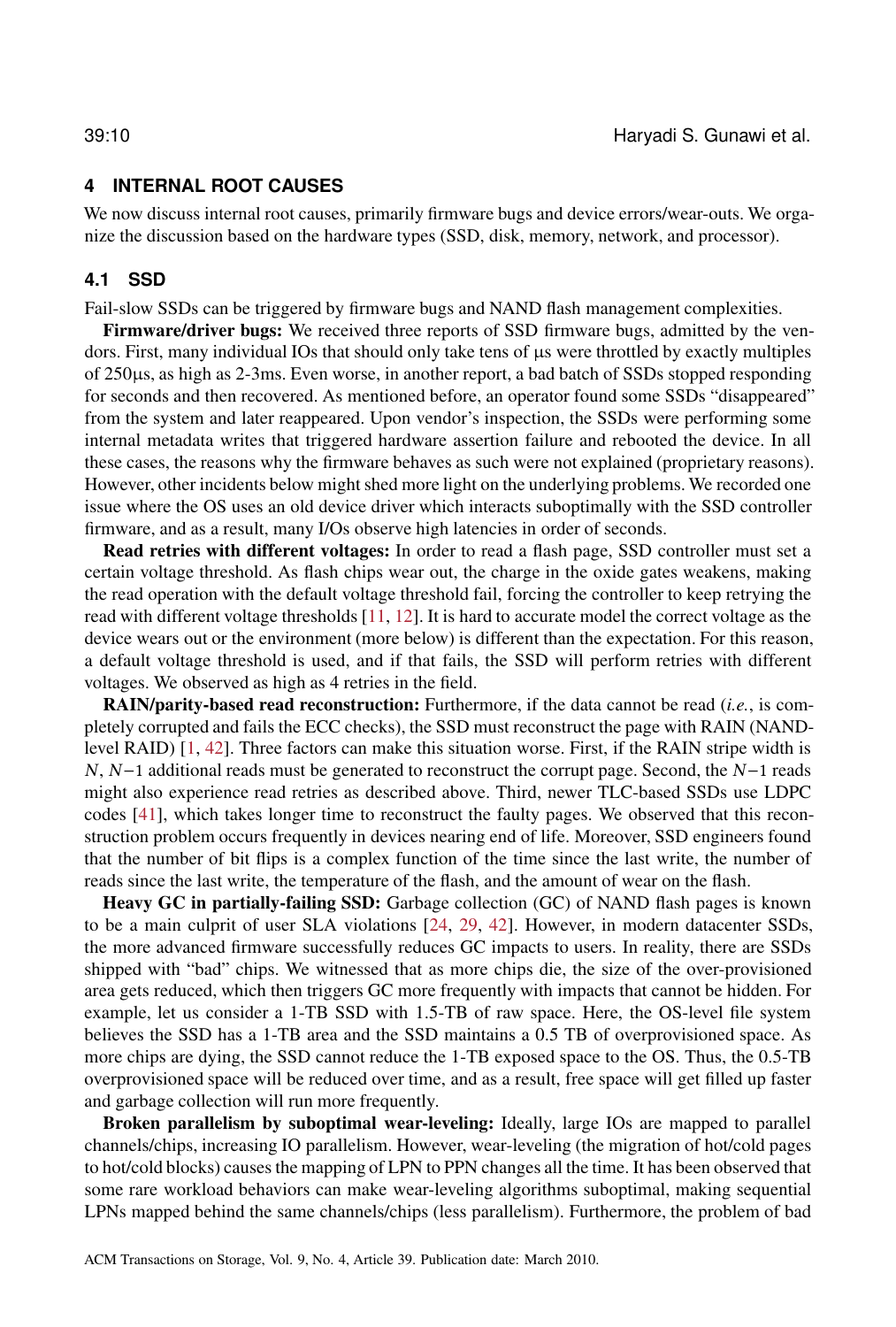## <span id="page-9-0"></span>**4 INTERNAL ROOT CAUSES**

We now discuss internal root causes, primarily firmware bugs and device errors/wear-outs. We organize the discussion based on the hardware types (SSD, disk, memory, network, and processor).

## <span id="page-9-1"></span>**4.1 SSD**

Fail-slow SSDs can be triggered by firmware bugs and NAND flash management complexities.

Firmware/driver bugs: We received three reports of SSD firmware bugs, admitted by the vendors. First, many individual IOs that should only take tens of  $\mu$ s were throttled by exactly multiples of 250µs, as high as 2-3ms. Even worse, in another report, a bad batch of SSDs stopped responding for seconds and then recovered. As mentioned before, an operator found some SSDs "disappeared" from the system and later reappeared. Upon vendor's inspection, the SSDs were performing some internal metadata writes that triggered hardware assertion failure and rebooted the device. In all these cases, the reasons why the firmware behaves as such were not explained (proprietary reasons). However, other incidents below might shed more light on the underlying problems. We recorded one issue where the OS uses an old device driver which interacts suboptimally with the SSD controller firmware, and as a result, many I/Os observe high latencies in order of seconds.

Read retries with different voltages: In order to read a flash page, SSD controller must set a certain voltage threshold. As flash chips wear out, the charge in the oxide gates weakens, making the read operation with the default voltage threshold fail, forcing the controller to keep retrying the read with different voltage thresholds [\[11,](#page-24-10) [12](#page-24-11)]. It is hard to accurate model the correct voltage as the device wears out or the environment (more below) is different than the expectation. For this reason, a default voltage threshold is used, and if that fails, the SSD will perform retries with different voltages. We observed as high as 4 retries in the field.

RAIN/parity-based read reconstruction: Furthermore, if the data cannot be read (*i.e.*, is completely corrupted and fails the ECC checks), the SSD must reconstruct the page with RAIN (NANDlevel RAID) [\[1](#page-24-12), [42](#page-25-11)]. Three factors can make this situation worse. First, if the RAIN stripe width is N, N−1 additional reads must be generated to reconstruct the corrupt page. Second, the N−1 reads might also experience read retries as described above. Third, newer TLC-based SSDs use LDPC codes [\[41](#page-25-12)], which takes longer time to reconstruct the faulty pages. We observed that this reconstruction problem occurs frequently in devices nearing end of life. Moreover, SSD engineers found that the number of bit flips is a complex function of the time since the last write, the number of reads since the last write, the temperature of the flash, and the amount of wear on the flash.

Heavy GC in partially-failing SSD: Garbage collection (GC) of NAND flash pages is known to be a main culprit of user SLA violations [\[24](#page-25-13), [29](#page-25-14), [42](#page-25-11)]. However, in modern datacenter SSDs, the more advanced firmware successfully reduces GC impacts to users. In reality, there are SSDs shipped with "bad" chips. We witnessed that as more chips die, the size of the over-provisioned area gets reduced, which then triggers GC more frequently with impacts that cannot be hidden. For example, let us consider a 1-TB SSD with 1.5-TB of raw space. Here, the OS-level file system believes the SSD has a 1-TB area and the SSD maintains a 0.5 TB of overprovisioned space. As more chips are dying, the SSD cannot reduce the 1-TB exposed space to the OS. Thus, the 0.5-TB overprovisioned space will be reduced over time, and as a result, free space will get filled up faster and garbage collection will run more frequently.

Broken parallelism by suboptimal wear-leveling: Ideally, large IOs are mapped to parallel channels/chips, increasing IO parallelism. However, wear-leveling (the migration of hot/cold pages to hot/cold blocks) causes the mapping of LPN to PPN changes all the time. It has been observed that some rare workload behaviors can make wear-leveling algorithms suboptimal, making sequential LPNs mapped behind the same channels/chips (less parallelism). Furthermore, the problem of bad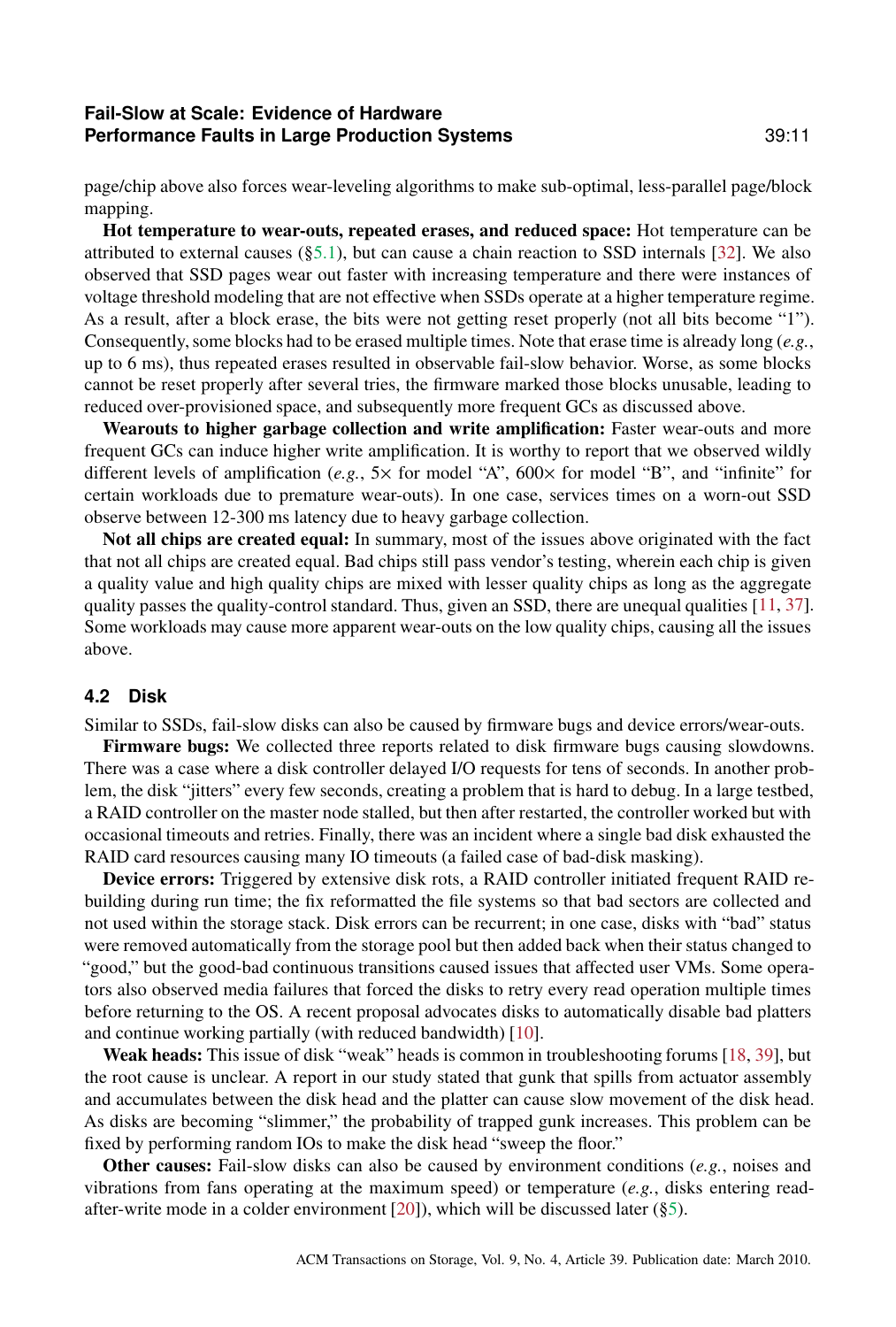page/chip above also forces wear-leveling algorithms to make sub-optimal, less-parallel page/block mapping.

Hot temperature to wear-outs, repeated erases, and reduced space: Hot temperature can be attributed to external causes  $(\S5.1)$ , but can cause a chain reaction to SSD internals [\[32](#page-25-15)]. We also observed that SSD pages wear out faster with increasing temperature and there were instances of voltage threshold modeling that are not effective when SSDs operate at a higher temperature regime. As a result, after a block erase, the bits were not getting reset properly (not all bits become "1"). Consequently, some blocks had to be erased multiple times. Note that erase time is already long (*e.g.*, up to 6 ms), thus repeated erases resulted in observable fail-slow behavior. Worse, as some blocks cannot be reset properly after several tries, the firmware marked those blocks unusable, leading to reduced over-provisioned space, and subsequently more frequent GCs as discussed above.

Wearouts to higher garbage collection and write amplification: Faster wear-outs and more frequent GCs can induce higher write amplification. It is worthy to report that we observed wildly different levels of amplification (*e.g.*, 5× for model "A", 600× for model "B", and "infinite" for certain workloads due to premature wear-outs). In one case, services times on a worn-out SSD observe between 12-300 ms latency due to heavy garbage collection.

Not all chips are created equal: In summary, most of the issues above originated with the fact that not all chips are created equal. Bad chips still pass vendor's testing, wherein each chip is given a quality value and high quality chips are mixed with lesser quality chips as long as the aggregate quality passes the quality-control standard. Thus, given an SSD, there are unequal qualities [\[11,](#page-24-10) [37](#page-25-7)]. Some workloads may cause more apparent wear-outs on the low quality chips, causing all the issues above.

#### **4.2 Disk**

Similar to SSDs, fail-slow disks can also be caused by firmware bugs and device errors/wear-outs.

Firmware bugs: We collected three reports related to disk firmware bugs causing slowdowns. There was a case where a disk controller delayed I/O requests for tens of seconds. In another problem, the disk "jitters" every few seconds, creating a problem that is hard to debug. In a large testbed, a RAID controller on the master node stalled, but then after restarted, the controller worked but with occasional timeouts and retries. Finally, there was an incident where a single bad disk exhausted the RAID card resources causing many IO timeouts (a failed case of bad-disk masking).

Device errors: Triggered by extensive disk rots, a RAID controller initiated frequent RAID rebuilding during run time; the fix reformatted the file systems so that bad sectors are collected and not used within the storage stack. Disk errors can be recurrent; in one case, disks with "bad" status were removed automatically from the storage pool but then added back when their status changed to "good," but the good-bad continuous transitions caused issues that affected user VMs. Some operators also observed media failures that forced the disks to retry every read operation multiple times before returning to the OS. A recent proposal advocates disks to automatically disable bad platters and continue working partially (with reduced bandwidth) [\[10\]](#page-24-13).

Weak heads: This issue of disk "weak" heads is common in troubleshooting forums [\[18](#page-24-7), [39\]](#page-25-16), but the root cause is unclear. A report in our study stated that gunk that spills from actuator assembly and accumulates between the disk head and the platter can cause slow movement of the disk head. As disks are becoming "slimmer," the probability of trapped gunk increases. This problem can be fixed by performing random IOs to make the disk head "sweep the floor."

Other causes: Fail-slow disks can also be caused by environment conditions (*e.g.*, noises and vibrations from fans operating at the maximum speed) or temperature (*e.g.*, disks entering readafter-write mode in a colder environment  $[20]$ ), which will be discussed later ([§5\)](#page-13-0).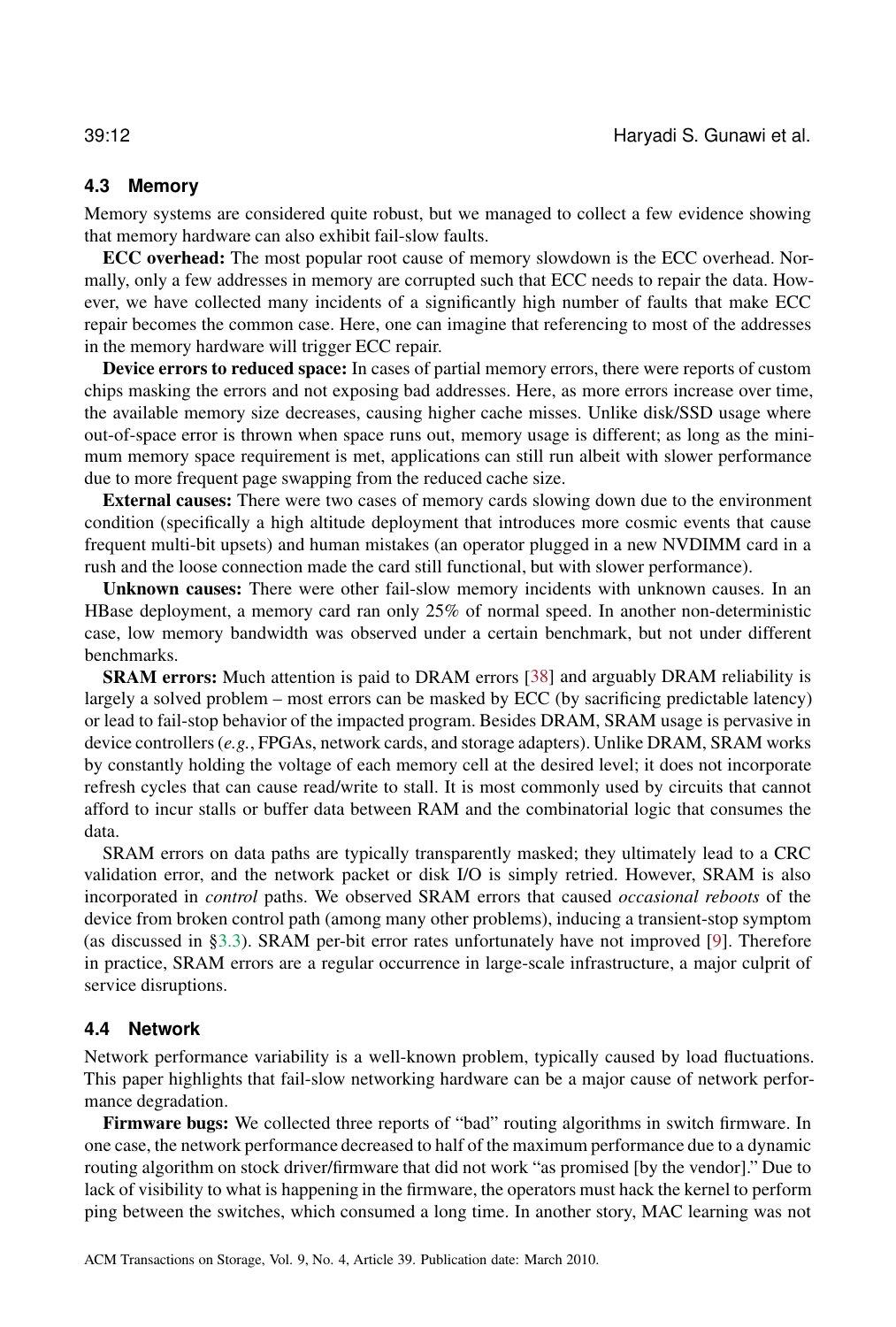#### **4.3 Memory**

Memory systems are considered quite robust, but we managed to collect a few evidence showing that memory hardware can also exhibit fail-slow faults.

ECC overhead: The most popular root cause of memory slowdown is the ECC overhead. Normally, only a few addresses in memory are corrupted such that ECC needs to repair the data. However, we have collected many incidents of a significantly high number of faults that make ECC repair becomes the common case. Here, one can imagine that referencing to most of the addresses in the memory hardware will trigger ECC repair.

Device errors to reduced space: In cases of partial memory errors, there were reports of custom chips masking the errors and not exposing bad addresses. Here, as more errors increase over time, the available memory size decreases, causing higher cache misses. Unlike disk/SSD usage where out-of-space error is thrown when space runs out, memory usage is different; as long as the minimum memory space requirement is met, applications can still run albeit with slower performance due to more frequent page swapping from the reduced cache size.

External causes: There were two cases of memory cards slowing down due to the environment condition (specifically a high altitude deployment that introduces more cosmic events that cause frequent multi-bit upsets) and human mistakes (an operator plugged in a new NVDIMM card in a rush and the loose connection made the card still functional, but with slower performance).

Unknown causes: There were other fail-slow memory incidents with unknown causes. In an HBase deployment, a memory card ran only 25% of normal speed. In another non-deterministic case, low memory bandwidth was observed under a certain benchmark, but not under different benchmarks.

SRAM errors: Much attention is paid to DRAM errors [\[38\]](#page-25-17) and arguably DRAM reliability is largely a solved problem – most errors can be masked by ECC (by sacrificing predictable latency) or lead to fail-stop behavior of the impacted program. Besides DRAM, SRAM usage is pervasive in device controllers (*e.g.*, FPGAs, network cards, and storage adapters). Unlike DRAM, SRAM works by constantly holding the voltage of each memory cell at the desired level; it does not incorporate refresh cycles that can cause read/write to stall. It is most commonly used by circuits that cannot afford to incur stalls or buffer data between RAM and the combinatorial logic that consumes the data.

SRAM errors on data paths are typically transparently masked; they ultimately lead to a CRC validation error, and the network packet or disk I/O is simply retried. However, SRAM is also incorporated in *control* paths. We observed SRAM errors that caused *occasional reboots* of the device from broken control path (among many other problems), inducing a transient-stop symptom (as discussed in [§3.3\)](#page-4-1). SRAM per-bit error rates unfortunately have not improved [\[9\]](#page-24-15). Therefore in practice, SRAM errors are a regular occurrence in large-scale infrastructure, a major culprit of service disruptions.

#### **4.4 Network**

Network performance variability is a well-known problem, typically caused by load fluctuations. This paper highlights that fail-slow networking hardware can be a major cause of network performance degradation.

Firmware bugs: We collected three reports of "bad" routing algorithms in switch firmware. In one case, the network performance decreased to half of the maximum performance due to a dynamic routing algorithm on stock driver/firmware that did not work "as promised [by the vendor]." Due to lack of visibility to what is happening in the firmware, the operators must hack the kernel to perform ping between the switches, which consumed a long time. In another story, MAC learning was not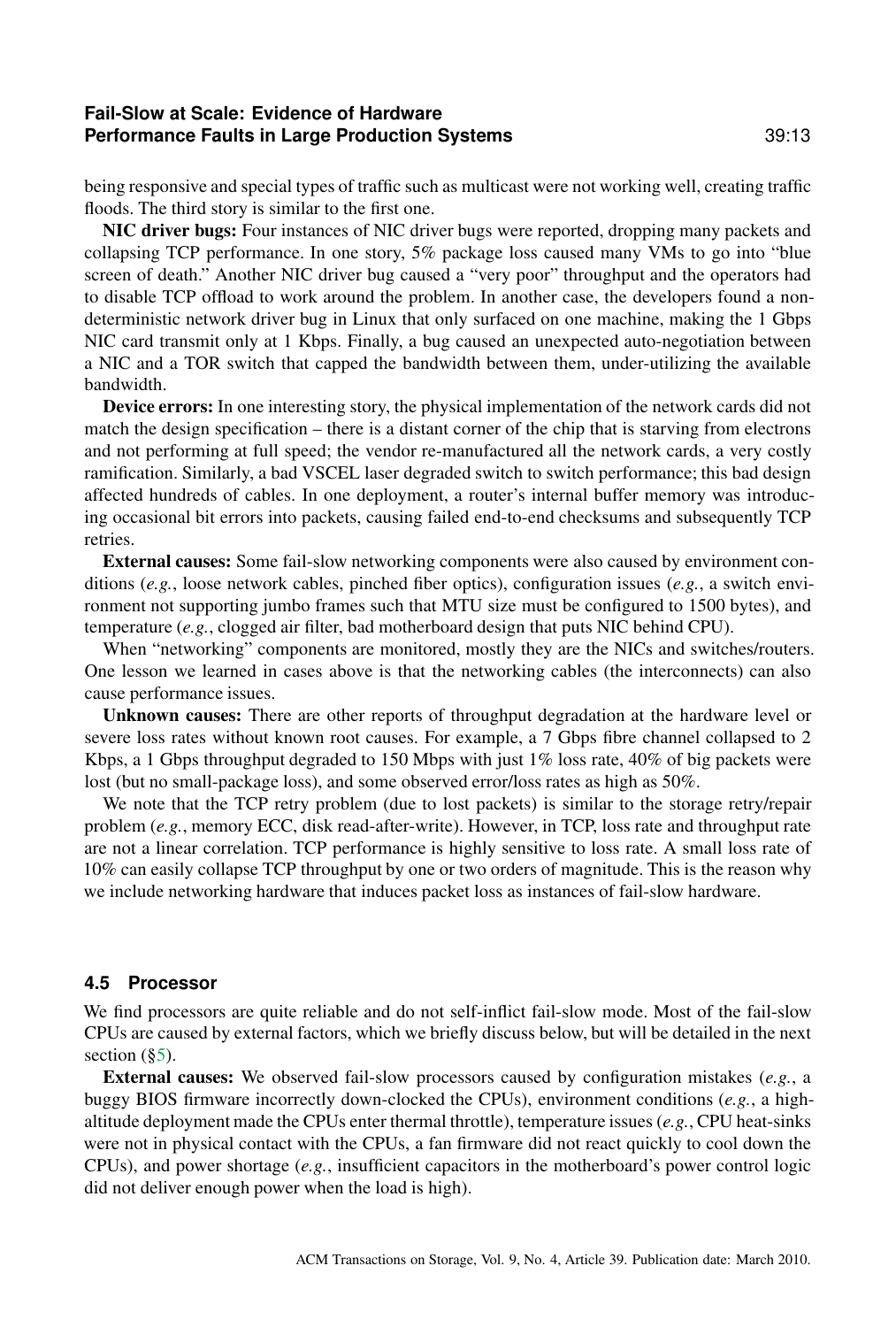being responsive and special types of traffic such as multicast were not working well, creating traffic floods. The third story is similar to the first one.

NIC driver bugs: Four instances of NIC driver bugs were reported, dropping many packets and collapsing TCP performance. In one story, 5% package loss caused many VMs to go into "blue screen of death." Another NIC driver bug caused a "very poor" throughput and the operators had to disable TCP offload to work around the problem. In another case, the developers found a nondeterministic network driver bug in Linux that only surfaced on one machine, making the 1 Gbps NIC card transmit only at 1 Kbps. Finally, a bug caused an unexpected auto-negotiation between a NIC and a TOR switch that capped the bandwidth between them, under-utilizing the available bandwidth.

Device errors: In one interesting story, the physical implementation of the network cards did not match the design specification – there is a distant corner of the chip that is starving from electrons and not performing at full speed; the vendor re-manufactured all the network cards, a very costly ramification. Similarly, a bad VSCEL laser degraded switch to switch performance; this bad design affected hundreds of cables. In one deployment, a router's internal buffer memory was introducing occasional bit errors into packets, causing failed end-to-end checksums and subsequently TCP retries.

External causes: Some fail-slow networking components were also caused by environment conditions (*e.g.*, loose network cables, pinched fiber optics), configuration issues (*e.g.*, a switch environment not supporting jumbo frames such that MTU size must be configured to 1500 bytes), and temperature (*e.g.*, clogged air filter, bad motherboard design that puts NIC behind CPU).

When "networking" components are monitored, mostly they are the NICs and switches/routers. One lesson we learned in cases above is that the networking cables (the interconnects) can also cause performance issues.

Unknown causes: There are other reports of throughput degradation at the hardware level or severe loss rates without known root causes. For example, a 7 Gbps fibre channel collapsed to 2 Kbps, a 1 Gbps throughput degraded to 150 Mbps with just 1% loss rate, 40% of big packets were lost (but no small-package loss), and some observed error/loss rates as high as 50%.

We note that the TCP retry problem (due to lost packets) is similar to the storage retry/repair problem (*e.g.*, memory ECC, disk read-after-write). However, in TCP, loss rate and throughput rate are not a linear correlation. TCP performance is highly sensitive to loss rate. A small loss rate of 10% can easily collapse TCP throughput by one or two orders of magnitude. This is the reason why we include networking hardware that induces packet loss as instances of fail-slow hardware.

#### **4.5 Processor**

We find processors are quite reliable and do not self-inflict fail-slow mode. Most of the fail-slow CPUs are caused by external factors, which we briefly discuss below, but will be detailed in the next section  $(\frac{85}{3})$ .

External causes: We observed fail-slow processors caused by configuration mistakes (*e.g.*, a buggy BIOS firmware incorrectly down-clocked the CPUs), environment conditions (*e.g.*, a highaltitude deployment made the CPUs enter thermal throttle), temperature issues (*e.g.*, CPU heat-sinks were not in physical contact with the CPUs, a fan firmware did not react quickly to cool down the CPUs), and power shortage (*e.g.*, insufficient capacitors in the motherboard's power control logic did not deliver enough power when the load is high).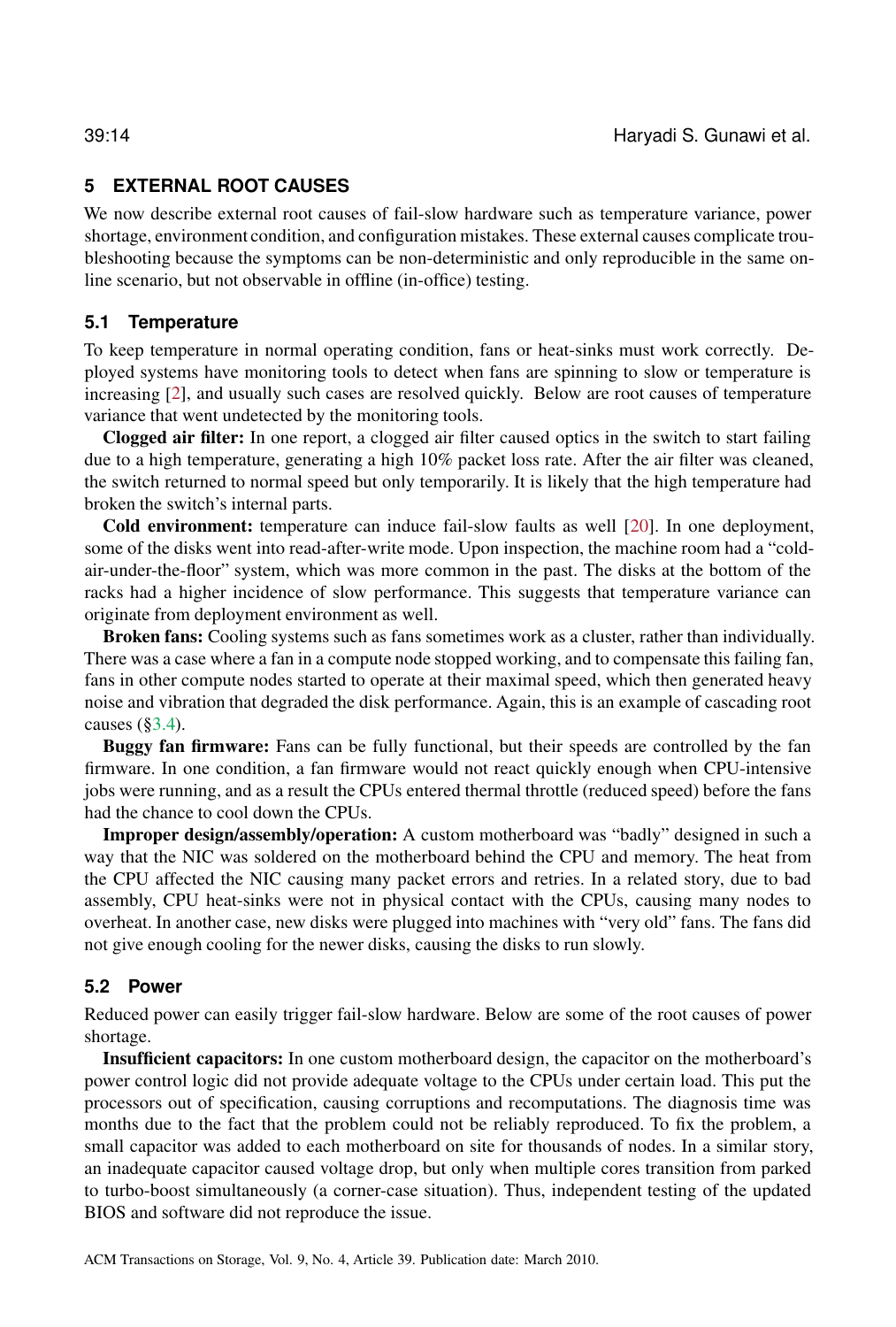## <span id="page-13-0"></span>**5 EXTERNAL ROOT CAUSES**

We now describe external root causes of fail-slow hardware such as temperature variance, power shortage, environment condition, and configuration mistakes. These external causes complicate troubleshooting because the symptoms can be non-deterministic and only reproducible in the same online scenario, but not observable in offline (in-office) testing.

## <span id="page-13-1"></span>**5.1 Temperature**

To keep temperature in normal operating condition, fans or heat-sinks must work correctly. Deployed systems have monitoring tools to detect when fans are spinning to slow or temperature is increasing [\[2\]](#page-24-16), and usually such cases are resolved quickly. Below are root causes of temperature variance that went undetected by the monitoring tools.

Clogged air filter: In one report, a clogged air filter caused optics in the switch to start failing due to a high temperature, generating a high 10% packet loss rate. After the air filter was cleaned, the switch returned to normal speed but only temporarily. It is likely that the high temperature had broken the switch's internal parts.

Cold environment: temperature can induce fail-slow faults as well [\[20\]](#page-24-14). In one deployment, some of the disks went into read-after-write mode. Upon inspection, the machine room had a "coldair-under-the-floor" system, which was more common in the past. The disks at the bottom of the racks had a higher incidence of slow performance. This suggests that temperature variance can originate from deployment environment as well.

Broken fans: Cooling systems such as fans sometimes work as a cluster, rather than individually. There was a case where a fan in a compute node stopped working, and to compensate this failing fan, fans in other compute nodes started to operate at their maximal speed, which then generated heavy noise and vibration that degraded the disk performance. Again, this is an example of cascading root causes ([§3.4\)](#page-7-0).

Buggy fan firmware: Fans can be fully functional, but their speeds are controlled by the fan firmware. In one condition, a fan firmware would not react quickly enough when CPU-intensive jobs were running, and as a result the CPUs entered thermal throttle (reduced speed) before the fans had the chance to cool down the CPUs.

Improper design/assembly/operation: A custom motherboard was "badly" designed in such a way that the NIC was soldered on the motherboard behind the CPU and memory. The heat from the CPU affected the NIC causing many packet errors and retries. In a related story, due to bad assembly, CPU heat-sinks were not in physical contact with the CPUs, causing many nodes to overheat. In another case, new disks were plugged into machines with "very old" fans. The fans did not give enough cooling for the newer disks, causing the disks to run slowly.

## **5.2 Power**

Reduced power can easily trigger fail-slow hardware. Below are some of the root causes of power shortage.

Insufficient capacitors: In one custom motherboard design, the capacitor on the motherboard's power control logic did not provide adequate voltage to the CPUs under certain load. This put the processors out of specification, causing corruptions and recomputations. The diagnosis time was months due to the fact that the problem could not be reliably reproduced. To fix the problem, a small capacitor was added to each motherboard on site for thousands of nodes. In a similar story, an inadequate capacitor caused voltage drop, but only when multiple cores transition from parked to turbo-boost simultaneously (a corner-case situation). Thus, independent testing of the updated BIOS and software did not reproduce the issue.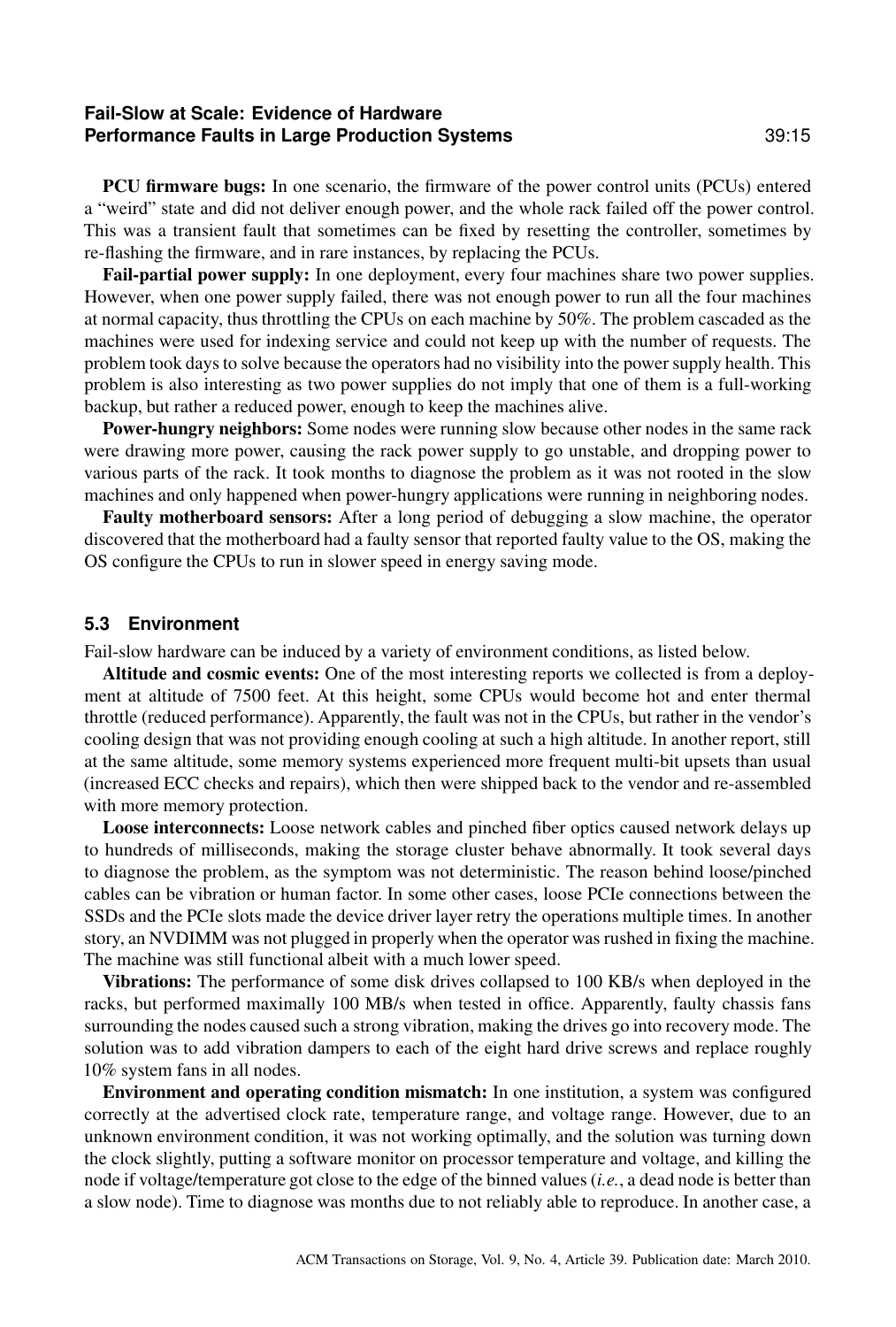PCU firmware bugs: In one scenario, the firmware of the power control units (PCUs) entered a "weird" state and did not deliver enough power, and the whole rack failed off the power control. This was a transient fault that sometimes can be fixed by resetting the controller, sometimes by re-flashing the firmware, and in rare instances, by replacing the PCUs.

Fail-partial power supply: In one deployment, every four machines share two power supplies. However, when one power supply failed, there was not enough power to run all the four machines at normal capacity, thus throttling the CPUs on each machine by 50%. The problem cascaded as the machines were used for indexing service and could not keep up with the number of requests. The problem took days to solve because the operators had no visibility into the power supply health. This problem is also interesting as two power supplies do not imply that one of them is a full-working backup, but rather a reduced power, enough to keep the machines alive.

Power-hungry neighbors: Some nodes were running slow because other nodes in the same rack were drawing more power, causing the rack power supply to go unstable, and dropping power to various parts of the rack. It took months to diagnose the problem as it was not rooted in the slow machines and only happened when power-hungry applications were running in neighboring nodes.

Faulty motherboard sensors: After a long period of debugging a slow machine, the operator discovered that the motherboard had a faulty sensor that reported faulty value to the OS, making the OS configure the CPUs to run in slower speed in energy saving mode.

#### **5.3 Environment**

Fail-slow hardware can be induced by a variety of environment conditions, as listed below.

Altitude and cosmic events: One of the most interesting reports we collected is from a deployment at altitude of 7500 feet. At this height, some CPUs would become hot and enter thermal throttle (reduced performance). Apparently, the fault was not in the CPUs, but rather in the vendor's cooling design that was not providing enough cooling at such a high altitude. In another report, still at the same altitude, some memory systems experienced more frequent multi-bit upsets than usual (increased ECC checks and repairs), which then were shipped back to the vendor and re-assembled with more memory protection.

Loose interconnects: Loose network cables and pinched fiber optics caused network delays up to hundreds of milliseconds, making the storage cluster behave abnormally. It took several days to diagnose the problem, as the symptom was not deterministic. The reason behind loose/pinched cables can be vibration or human factor. In some other cases, loose PCIe connections between the SSDs and the PCIe slots made the device driver layer retry the operations multiple times. In another story, an NVDIMM was not plugged in properly when the operator was rushed in fixing the machine. The machine was still functional albeit with a much lower speed.

Vibrations: The performance of some disk drives collapsed to 100 KB/s when deployed in the racks, but performed maximally 100 MB/s when tested in office. Apparently, faulty chassis fans surrounding the nodes caused such a strong vibration, making the drives go into recovery mode. The solution was to add vibration dampers to each of the eight hard drive screws and replace roughly 10% system fans in all nodes.

Environment and operating condition mismatch: In one institution, a system was configured correctly at the advertised clock rate, temperature range, and voltage range. However, due to an unknown environment condition, it was not working optimally, and the solution was turning down the clock slightly, putting a software monitor on processor temperature and voltage, and killing the node if voltage/temperature got close to the edge of the binned values (*i.e.*, a dead node is better than a slow node). Time to diagnose was months due to not reliably able to reproduce. In another case, a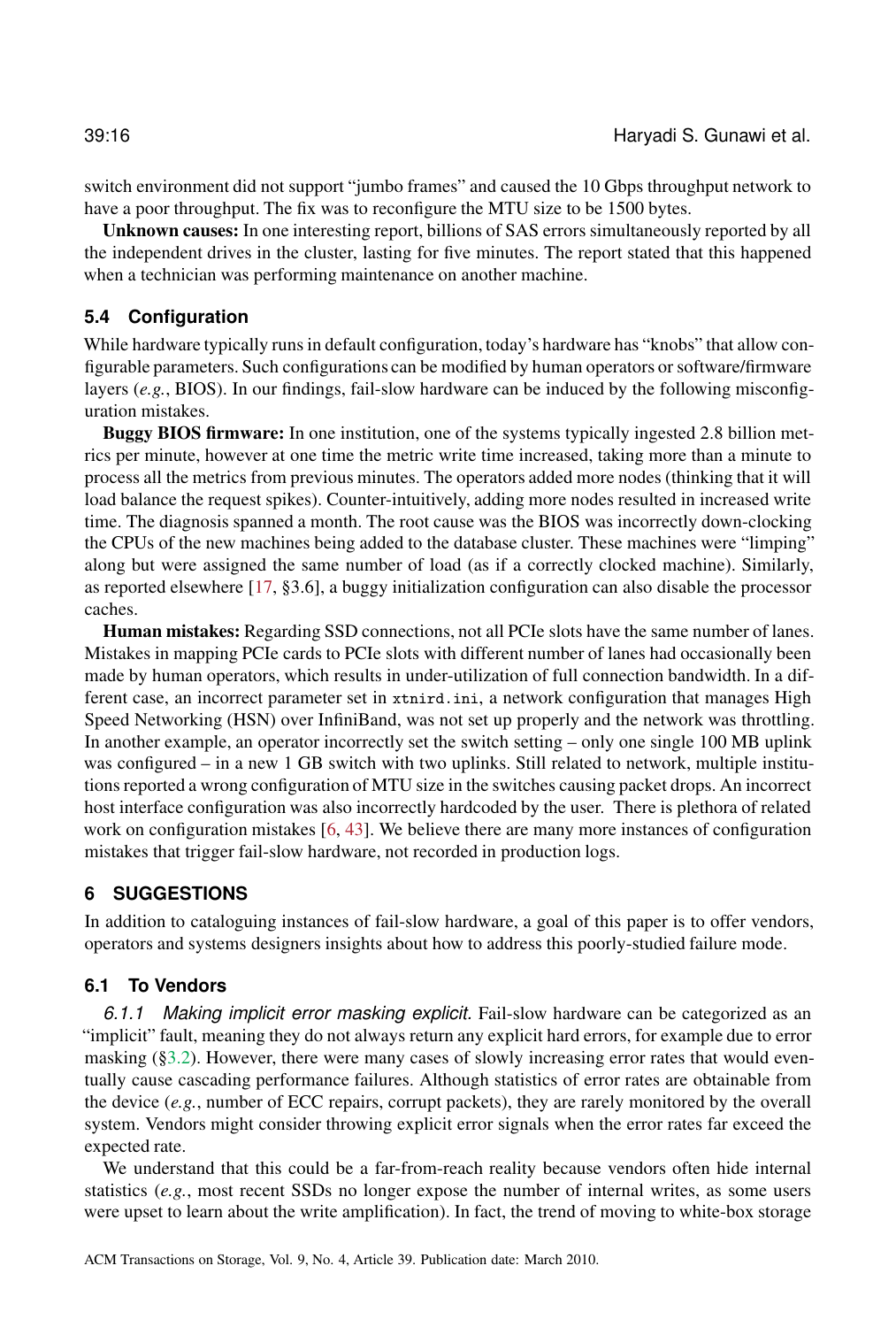switch environment did not support "jumbo frames" and caused the 10 Gbps throughput network to have a poor throughput. The fix was to reconfigure the MTU size to be 1500 bytes.

Unknown causes: In one interesting report, billions of SAS errors simultaneously reported by all the independent drives in the cluster, lasting for five minutes. The report stated that this happened when a technician was performing maintenance on another machine.

#### **5.4 Configuration**

While hardware typically runs in default configuration, today's hardware has "knobs" that allow configurable parameters. Such configurations can be modified by human operators or software/firmware layers (*e.g.*, BIOS). In our findings, fail-slow hardware can be induced by the following misconfiguration mistakes.

Buggy BIOS firmware: In one institution, one of the systems typically ingested 2.8 billion metrics per minute, however at one time the metric write time increased, taking more than a minute to process all the metrics from previous minutes. The operators added more nodes (thinking that it will load balance the request spikes). Counter-intuitively, adding more nodes resulted in increased write time. The diagnosis spanned a month. The root cause was the BIOS was incorrectly down-clocking the CPUs of the new machines being added to the database cluster. These machines were "limping" along but were assigned the same number of load (as if a correctly clocked machine). Similarly, as reported elsewhere [\[17,](#page-24-17) §3.6], a buggy initialization configuration can also disable the processor caches.

Human mistakes: Regarding SSD connections, not all PCIe slots have the same number of lanes. Mistakes in mapping PCIe cards to PCIe slots with different number of lanes had occasionally been made by human operators, which results in under-utilization of full connection bandwidth. In a different case, an incorrect parameter set in xtnird.ini, a network configuration that manages High Speed Networking (HSN) over InfiniBand, was not set up properly and the network was throttling. In another example, an operator incorrectly set the switch setting – only one single 100 MB uplink was configured – in a new 1 GB switch with two uplinks. Still related to network, multiple institutions reported a wrong configuration of MTU size in the switches causing packet drops. An incorrect host interface configuration was also incorrectly hardcoded by the user. There is plethora of related work on configuration mistakes [\[6](#page-24-18), [43](#page-25-18)]. We believe there are many more instances of configuration mistakes that trigger fail-slow hardware, not recorded in production logs.

## <span id="page-15-1"></span>**6 SUGGESTIONS**

In addition to cataloguing instances of fail-slow hardware, a goal of this paper is to offer vendors, operators and systems designers insights about how to address this poorly-studied failure mode.

#### <span id="page-15-0"></span>**6.1 To Vendors**

*6.1.1 Making implicit error masking explicit.* Fail-slow hardware can be categorized as an "implicit" fault, meaning they do not always return any explicit hard errors, for example due to error masking ([§3.2\)](#page-4-0). However, there were many cases of slowly increasing error rates that would eventually cause cascading performance failures. Although statistics of error rates are obtainable from the device (*e.g.*, number of ECC repairs, corrupt packets), they are rarely monitored by the overall system. Vendors might consider throwing explicit error signals when the error rates far exceed the expected rate.

We understand that this could be a far-from-reach reality because vendors often hide internal statistics (*e.g.*, most recent SSDs no longer expose the number of internal writes, as some users were upset to learn about the write amplification). In fact, the trend of moving to white-box storage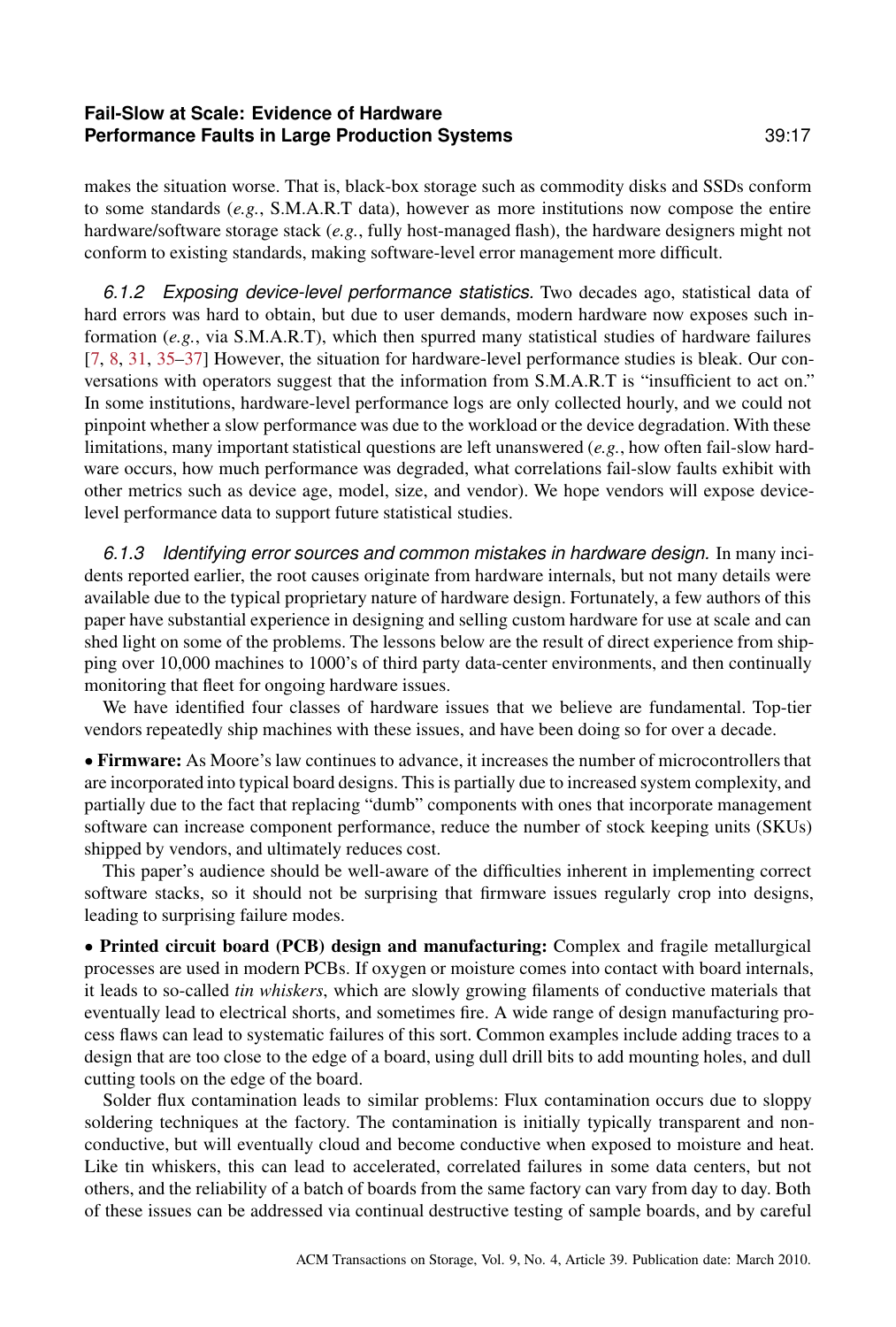makes the situation worse. That is, black-box storage such as commodity disks and SSDs conform to some standards (*e.g.*, S.M.A.R.T data), however as more institutions now compose the entire hardware/software storage stack (*e.g.*, fully host-managed flash), the hardware designers might not conform to existing standards, making software-level error management more difficult.

*6.1.2 Exposing device-level performance statistics.* Two decades ago, statistical data of hard errors was hard to obtain, but due to user demands, modern hardware now exposes such information (*e.g.*, via S.M.A.R.T), which then spurred many statistical studies of hardware failures [\[7](#page-24-1), [8,](#page-24-2) [31,](#page-25-1) [35](#page-25-5)[–37](#page-25-7)] However, the situation for hardware-level performance studies is bleak. Our conversations with operators suggest that the information from S.M.A.R.T is "insufficient to act on." In some institutions, hardware-level performance logs are only collected hourly, and we could not pinpoint whether a slow performance was due to the workload or the device degradation. With these limitations, many important statistical questions are left unanswered (*e.g.*, how often fail-slow hardware occurs, how much performance was degraded, what correlations fail-slow faults exhibit with other metrics such as device age, model, size, and vendor). We hope vendors will expose devicelevel performance data to support future statistical studies.

*6.1.3 Identifying error sources and common mistakes in hardware design.* In many incidents reported earlier, the root causes originate from hardware internals, but not many details were available due to the typical proprietary nature of hardware design. Fortunately, a few authors of this paper have substantial experience in designing and selling custom hardware for use at scale and can shed light on some of the problems. The lessons below are the result of direct experience from shipping over 10,000 machines to 1000's of third party data-center environments, and then continually monitoring that fleet for ongoing hardware issues.

We have identified four classes of hardware issues that we believe are fundamental. Top-tier vendors repeatedly ship machines with these issues, and have been doing so for over a decade.

• Firmware: As Moore's law continues to advance, it increases the number of microcontrollers that are incorporated into typical board designs. This is partially due to increased system complexity, and partially due to the fact that replacing "dumb" components with ones that incorporate management software can increase component performance, reduce the number of stock keeping units (SKUs) shipped by vendors, and ultimately reduces cost.

This paper's audience should be well-aware of the difficulties inherent in implementing correct software stacks, so it should not be surprising that firmware issues regularly crop into designs, leading to surprising failure modes.

• Printed circuit board (PCB) design and manufacturing: Complex and fragile metallurgical processes are used in modern PCBs. If oxygen or moisture comes into contact with board internals, it leads to so-called *tin whiskers*, which are slowly growing filaments of conductive materials that eventually lead to electrical shorts, and sometimes fire. A wide range of design manufacturing process flaws can lead to systematic failures of this sort. Common examples include adding traces to a design that are too close to the edge of a board, using dull drill bits to add mounting holes, and dull cutting tools on the edge of the board.

Solder flux contamination leads to similar problems: Flux contamination occurs due to sloppy soldering techniques at the factory. The contamination is initially typically transparent and nonconductive, but will eventually cloud and become conductive when exposed to moisture and heat. Like tin whiskers, this can lead to accelerated, correlated failures in some data centers, but not others, and the reliability of a batch of boards from the same factory can vary from day to day. Both of these issues can be addressed via continual destructive testing of sample boards, and by careful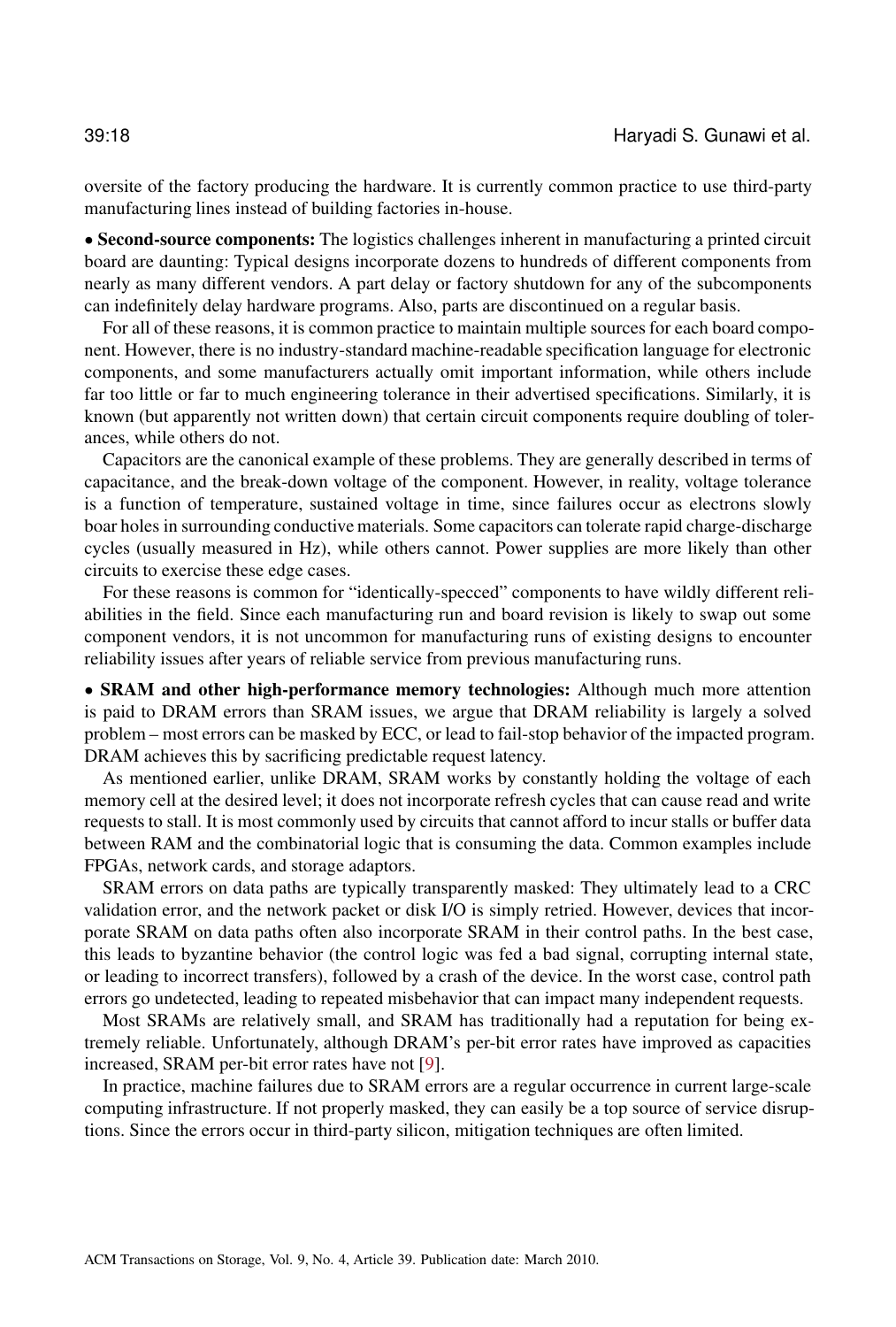oversite of the factory producing the hardware. It is currently common practice to use third-party manufacturing lines instead of building factories in-house.

• Second-source components: The logistics challenges inherent in manufacturing a printed circuit board are daunting: Typical designs incorporate dozens to hundreds of different components from nearly as many different vendors. A part delay or factory shutdown for any of the subcomponents can indefinitely delay hardware programs. Also, parts are discontinued on a regular basis.

For all of these reasons, it is common practice to maintain multiple sources for each board component. However, there is no industry-standard machine-readable specification language for electronic components, and some manufacturers actually omit important information, while others include far too little or far to much engineering tolerance in their advertised specifications. Similarly, it is known (but apparently not written down) that certain circuit components require doubling of tolerances, while others do not.

Capacitors are the canonical example of these problems. They are generally described in terms of capacitance, and the break-down voltage of the component. However, in reality, voltage tolerance is a function of temperature, sustained voltage in time, since failures occur as electrons slowly boar holes in surrounding conductive materials. Some capacitors can tolerate rapid charge-discharge cycles (usually measured in Hz), while others cannot. Power supplies are more likely than other circuits to exercise these edge cases.

For these reasons is common for "identically-specced" components to have wildly different reliabilities in the field. Since each manufacturing run and board revision is likely to swap out some component vendors, it is not uncommon for manufacturing runs of existing designs to encounter reliability issues after years of reliable service from previous manufacturing runs.

• SRAM and other high-performance memory technologies: Although much more attention is paid to DRAM errors than SRAM issues, we argue that DRAM reliability is largely a solved problem – most errors can be masked by ECC, or lead to fail-stop behavior of the impacted program. DRAM achieves this by sacrificing predictable request latency.

As mentioned earlier, unlike DRAM, SRAM works by constantly holding the voltage of each memory cell at the desired level; it does not incorporate refresh cycles that can cause read and write requests to stall. It is most commonly used by circuits that cannot afford to incur stalls or buffer data between RAM and the combinatorial logic that is consuming the data. Common examples include FPGAs, network cards, and storage adaptors.

SRAM errors on data paths are typically transparently masked: They ultimately lead to a CRC validation error, and the network packet or disk I/O is simply retried. However, devices that incorporate SRAM on data paths often also incorporate SRAM in their control paths. In the best case, this leads to byzantine behavior (the control logic was fed a bad signal, corrupting internal state, or leading to incorrect transfers), followed by a crash of the device. In the worst case, control path errors go undetected, leading to repeated misbehavior that can impact many independent requests.

Most SRAMs are relatively small, and SRAM has traditionally had a reputation for being extremely reliable. Unfortunately, although DRAM's per-bit error rates have improved as capacities increased, SRAM per-bit error rates have not [\[9\]](#page-24-15).

In practice, machine failures due to SRAM errors are a regular occurrence in current large-scale computing infrastructure. If not properly masked, they can easily be a top source of service disruptions. Since the errors occur in third-party silicon, mitigation techniques are often limited.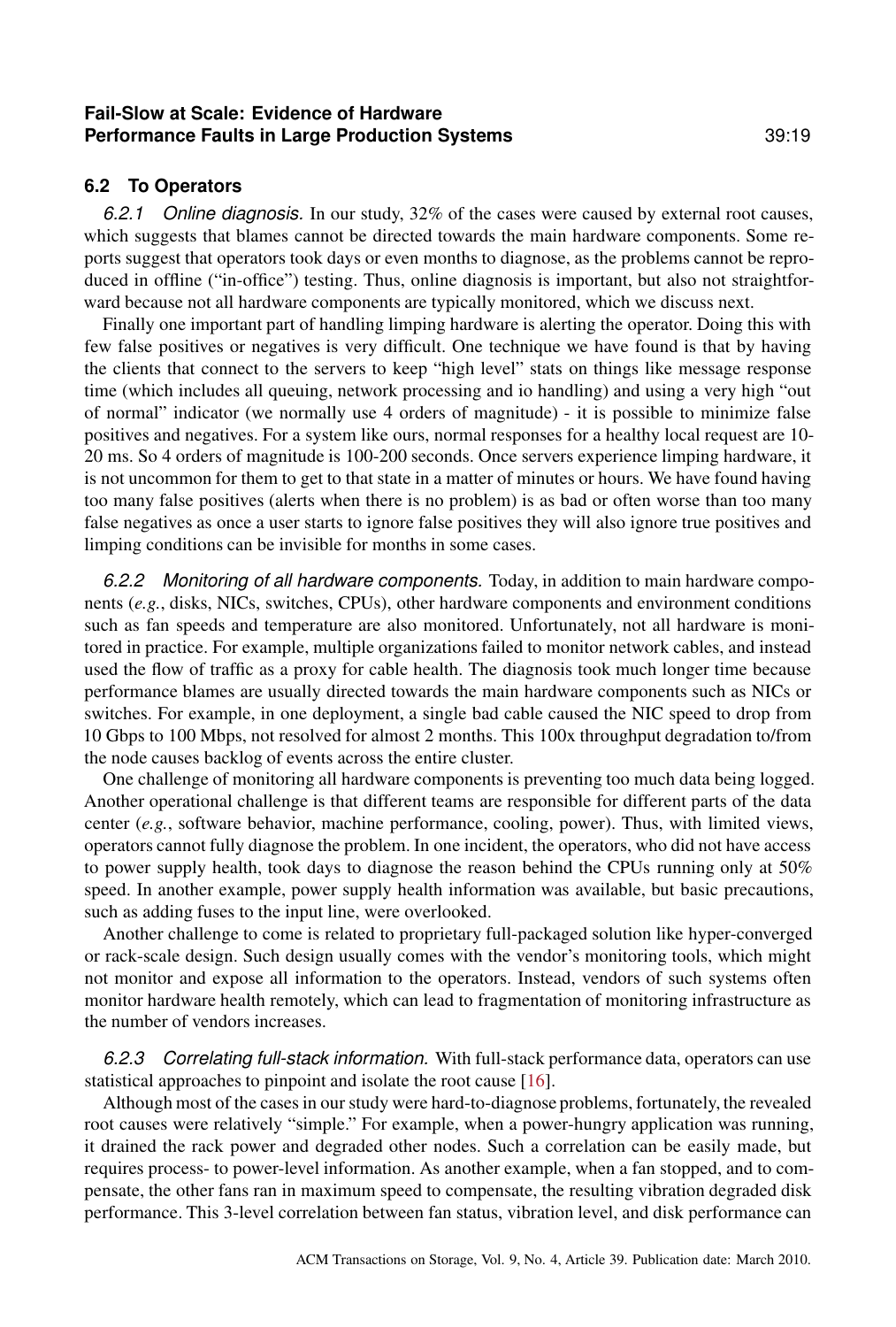#### <span id="page-18-0"></span>**6.2 To Operators**

*6.2.1 Online diagnosis.* In our study, 32% of the cases were caused by external root causes, which suggests that blames cannot be directed towards the main hardware components. Some reports suggest that operators took days or even months to diagnose, as the problems cannot be reproduced in offline ("in-office") testing. Thus, online diagnosis is important, but also not straightforward because not all hardware components are typically monitored, which we discuss next.

Finally one important part of handling limping hardware is alerting the operator. Doing this with few false positives or negatives is very difficult. One technique we have found is that by having the clients that connect to the servers to keep "high level" stats on things like message response time (which includes all queuing, network processing and io handling) and using a very high "out of normal" indicator (we normally use 4 orders of magnitude) - it is possible to minimize false positives and negatives. For a system like ours, normal responses for a healthy local request are 10- 20 ms. So 4 orders of magnitude is 100-200 seconds. Once servers experience limping hardware, it is not uncommon for them to get to that state in a matter of minutes or hours. We have found having too many false positives (alerts when there is no problem) is as bad or often worse than too many false negatives as once a user starts to ignore false positives they will also ignore true positives and limping conditions can be invisible for months in some cases.

*6.2.2 Monitoring of all hardware components.* Today, in addition to main hardware components (*e.g.*, disks, NICs, switches, CPUs), other hardware components and environment conditions such as fan speeds and temperature are also monitored. Unfortunately, not all hardware is monitored in practice. For example, multiple organizations failed to monitor network cables, and instead used the flow of traffic as a proxy for cable health. The diagnosis took much longer time because performance blames are usually directed towards the main hardware components such as NICs or switches. For example, in one deployment, a single bad cable caused the NIC speed to drop from 10 Gbps to 100 Mbps, not resolved for almost 2 months. This 100x throughput degradation to/from the node causes backlog of events across the entire cluster.

One challenge of monitoring all hardware components is preventing too much data being logged. Another operational challenge is that different teams are responsible for different parts of the data center (*e.g.*, software behavior, machine performance, cooling, power). Thus, with limited views, operators cannot fully diagnose the problem. In one incident, the operators, who did not have access to power supply health, took days to diagnose the reason behind the CPUs running only at 50% speed. In another example, power supply health information was available, but basic precautions, such as adding fuses to the input line, were overlooked.

Another challenge to come is related to proprietary full-packaged solution like hyper-converged or rack-scale design. Such design usually comes with the vendor's monitoring tools, which might not monitor and expose all information to the operators. Instead, vendors of such systems often monitor hardware health remotely, which can lead to fragmentation of monitoring infrastructure as the number of vendors increases.

*6.2.3 Correlating full-stack information.* With full-stack performance data, operators can use statistical approaches to pinpoint and isolate the root cause [\[16\]](#page-24-19).

Although most of the cases in our study were hard-to-diagnose problems, fortunately, the revealed root causes were relatively "simple." For example, when a power-hungry application was running, it drained the rack power and degraded other nodes. Such a correlation can be easily made, but requires process- to power-level information. As another example, when a fan stopped, and to compensate, the other fans ran in maximum speed to compensate, the resulting vibration degraded disk performance. This 3-level correlation between fan status, vibration level, and disk performance can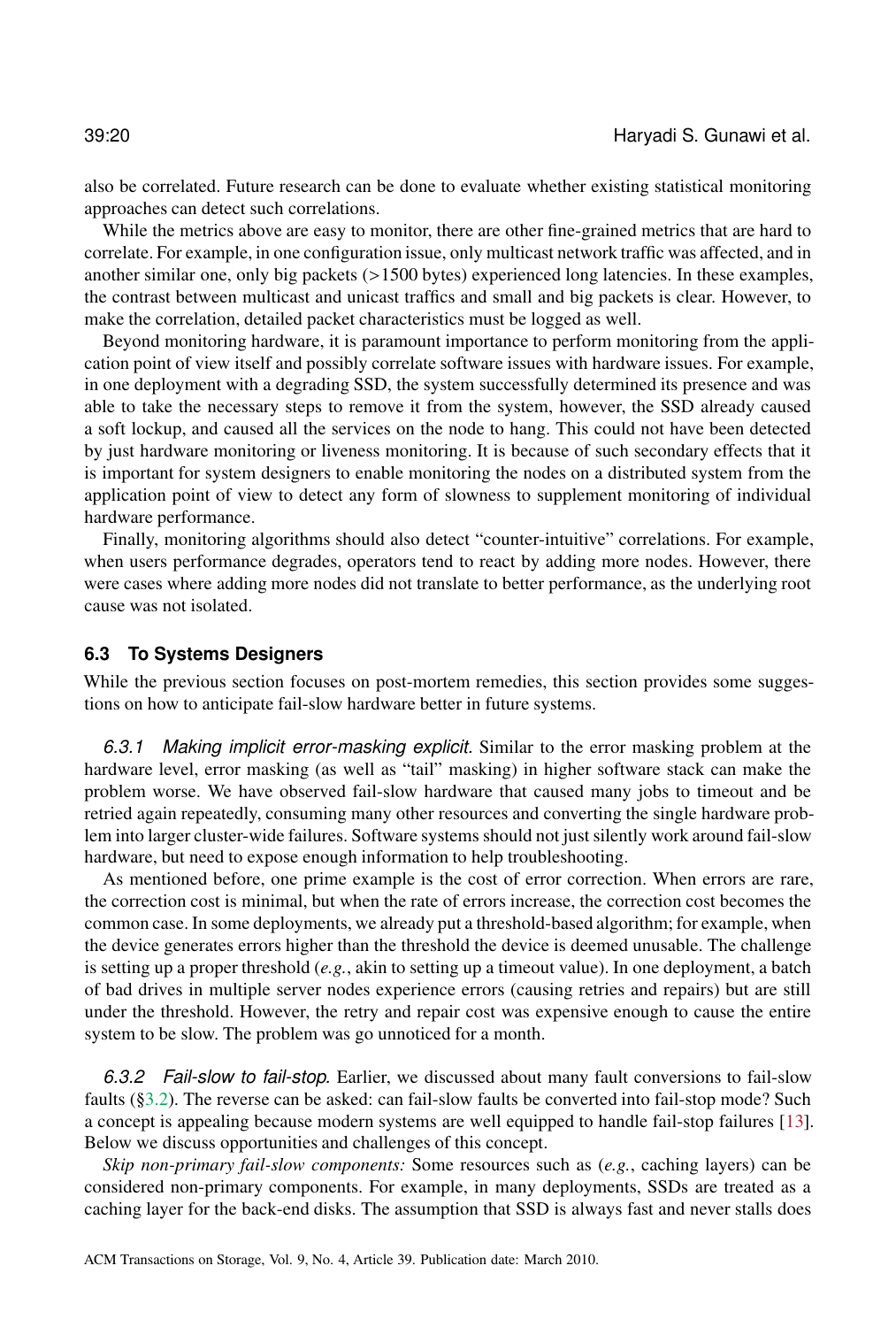also be correlated. Future research can be done to evaluate whether existing statistical monitoring approaches can detect such correlations.

While the metrics above are easy to monitor, there are other fine-grained metrics that are hard to correlate. For example, in one configuration issue, only multicast network traffic was affected, and in another similar one, only big packets (>1500 bytes) experienced long latencies. In these examples, the contrast between multicast and unicast traffics and small and big packets is clear. However, to make the correlation, detailed packet characteristics must be logged as well.

Beyond monitoring hardware, it is paramount importance to perform monitoring from the application point of view itself and possibly correlate software issues with hardware issues. For example, in one deployment with a degrading SSD, the system successfully determined its presence and was able to take the necessary steps to remove it from the system, however, the SSD already caused a soft lockup, and caused all the services on the node to hang. This could not have been detected by just hardware monitoring or liveness monitoring. It is because of such secondary effects that it is important for system designers to enable monitoring the nodes on a distributed system from the application point of view to detect any form of slowness to supplement monitoring of individual hardware performance.

Finally, monitoring algorithms should also detect "counter-intuitive" correlations. For example, when users performance degrades, operators tend to react by adding more nodes. However, there were cases where adding more nodes did not translate to better performance, as the underlying root cause was not isolated.

#### <span id="page-19-0"></span>**6.3 To Systems Designers**

While the previous section focuses on post-mortem remedies, this section provides some suggestions on how to anticipate fail-slow hardware better in future systems.

*6.3.1 Making implicit error-masking explicit.* Similar to the error masking problem at the hardware level, error masking (as well as "tail" masking) in higher software stack can make the problem worse. We have observed fail-slow hardware that caused many jobs to timeout and be retried again repeatedly, consuming many other resources and converting the single hardware problem into larger cluster-wide failures. Software systems should not just silently work around fail-slow hardware, but need to expose enough information to help troubleshooting.

As mentioned before, one prime example is the cost of error correction. When errors are rare, the correction cost is minimal, but when the rate of errors increase, the correction cost becomes the common case. In some deployments, we already put a threshold-based algorithm; for example, when the device generates errors higher than the threshold the device is deemed unusable. The challenge is setting up a proper threshold (*e.g.*, akin to setting up a timeout value). In one deployment, a batch of bad drives in multiple server nodes experience errors (causing retries and repairs) but are still under the threshold. However, the retry and repair cost was expensive enough to cause the entire system to be slow. The problem was go unnoticed for a month.

*6.3.2 Fail-slow to fail-stop.* Earlier, we discussed about many fault conversions to fail-slow faults ([§3.2\)](#page-4-0). The reverse can be asked: can fail-slow faults be converted into fail-stop mode? Such a concept is appealing because modern systems are well equipped to handle fail-stop failures [\[13](#page-24-20)]. Below we discuss opportunities and challenges of this concept.

*Skip non-primary fail-slow components:* Some resources such as (*e.g.*, caching layers) can be considered non-primary components. For example, in many deployments, SSDs are treated as a caching layer for the back-end disks. The assumption that SSD is always fast and never stalls does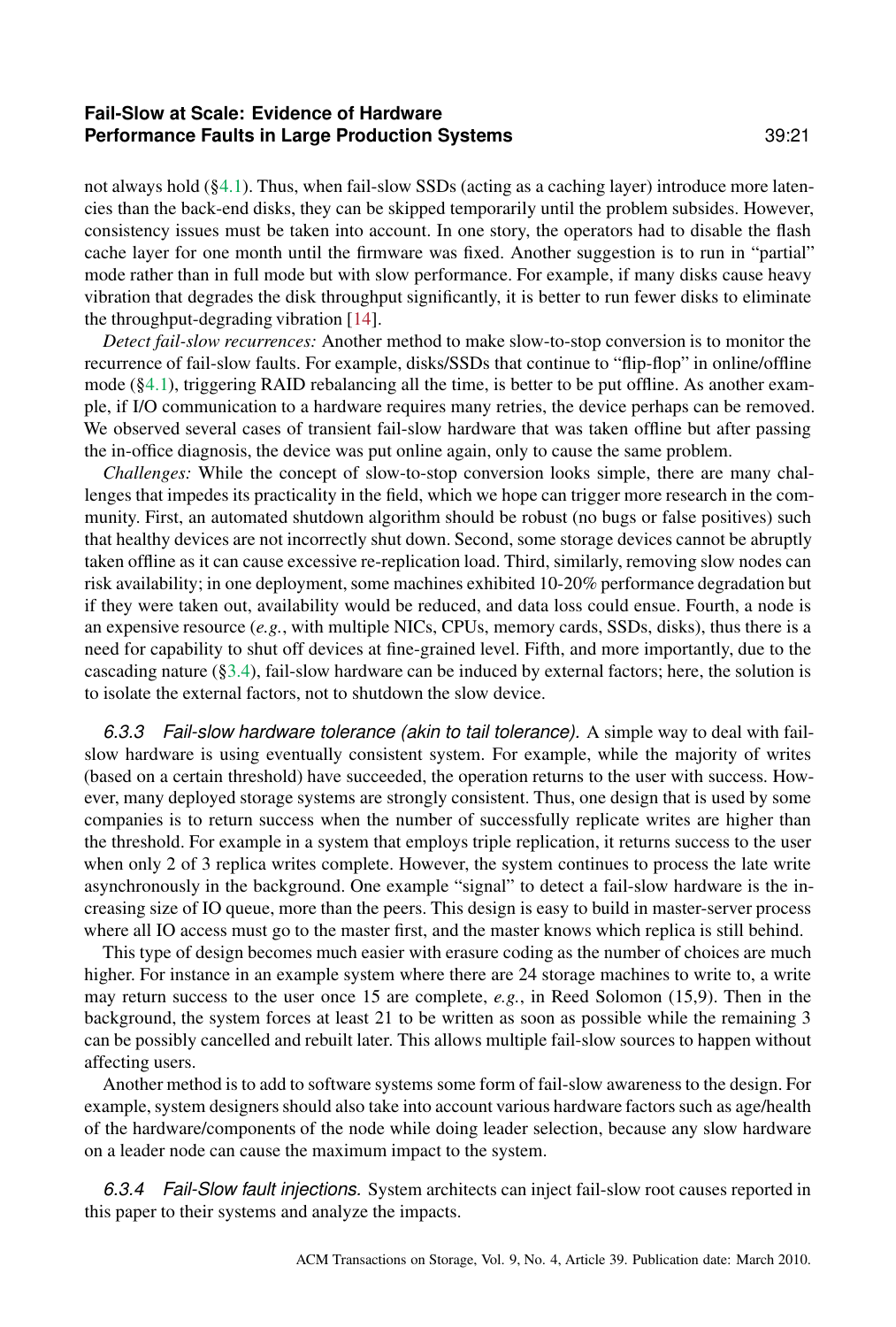not always hold ([§4.1\)](#page-9-1). Thus, when fail-slow SSDs (acting as a caching layer) introduce more latencies than the back-end disks, they can be skipped temporarily until the problem subsides. However, consistency issues must be taken into account. In one story, the operators had to disable the flash cache layer for one month until the firmware was fixed. Another suggestion is to run in "partial" mode rather than in full mode but with slow performance. For example, if many disks cause heavy vibration that degrades the disk throughput significantly, it is better to run fewer disks to eliminate the throughput-degrading vibration [\[14\]](#page-24-21).

*Detect fail-slow recurrences:* Another method to make slow-to-stop conversion is to monitor the recurrence of fail-slow faults. For example, disks/SSDs that continue to "flip-flop" in online/offline mode ([§4.1\)](#page-9-1), triggering RAID rebalancing all the time, is better to be put offline. As another example, if I/O communication to a hardware requires many retries, the device perhaps can be removed. We observed several cases of transient fail-slow hardware that was taken offline but after passing the in-office diagnosis, the device was put online again, only to cause the same problem.

*Challenges:* While the concept of slow-to-stop conversion looks simple, there are many challenges that impedes its practicality in the field, which we hope can trigger more research in the community. First, an automated shutdown algorithm should be robust (no bugs or false positives) such that healthy devices are not incorrectly shut down. Second, some storage devices cannot be abruptly taken offline as it can cause excessive re-replication load. Third, similarly, removing slow nodes can risk availability; in one deployment, some machines exhibited 10-20% performance degradation but if they were taken out, availability would be reduced, and data loss could ensue. Fourth, a node is an expensive resource (*e.g.*, with multiple NICs, CPUs, memory cards, SSDs, disks), thus there is a need for capability to shut off devices at fine-grained level. Fifth, and more importantly, due to the cascading nature ([§3.4\)](#page-7-0), fail-slow hardware can be induced by external factors; here, the solution is to isolate the external factors, not to shutdown the slow device.

*6.3.3 Fail-slow hardware tolerance (akin to tail tolerance).* A simple way to deal with failslow hardware is using eventually consistent system. For example, while the majority of writes (based on a certain threshold) have succeeded, the operation returns to the user with success. However, many deployed storage systems are strongly consistent. Thus, one design that is used by some companies is to return success when the number of successfully replicate writes are higher than the threshold. For example in a system that employs triple replication, it returns success to the user when only 2 of 3 replica writes complete. However, the system continues to process the late write asynchronously in the background. One example "signal" to detect a fail-slow hardware is the increasing size of IO queue, more than the peers. This design is easy to build in master-server process where all IO access must go to the master first, and the master knows which replica is still behind.

This type of design becomes much easier with erasure coding as the number of choices are much higher. For instance in an example system where there are 24 storage machines to write to, a write may return success to the user once 15 are complete, *e.g.*, in Reed Solomon (15,9). Then in the background, the system forces at least 21 to be written as soon as possible while the remaining 3 can be possibly cancelled and rebuilt later. This allows multiple fail-slow sources to happen without affecting users.

Another method is to add to software systems some form of fail-slow awareness to the design. For example, system designers should also take into account various hardware factors such as age/health of the hardware/components of the node while doing leader selection, because any slow hardware on a leader node can cause the maximum impact to the system.

*6.3.4 Fail-Slow fault injections.* System architects can inject fail-slow root causes reported in this paper to their systems and analyze the impacts.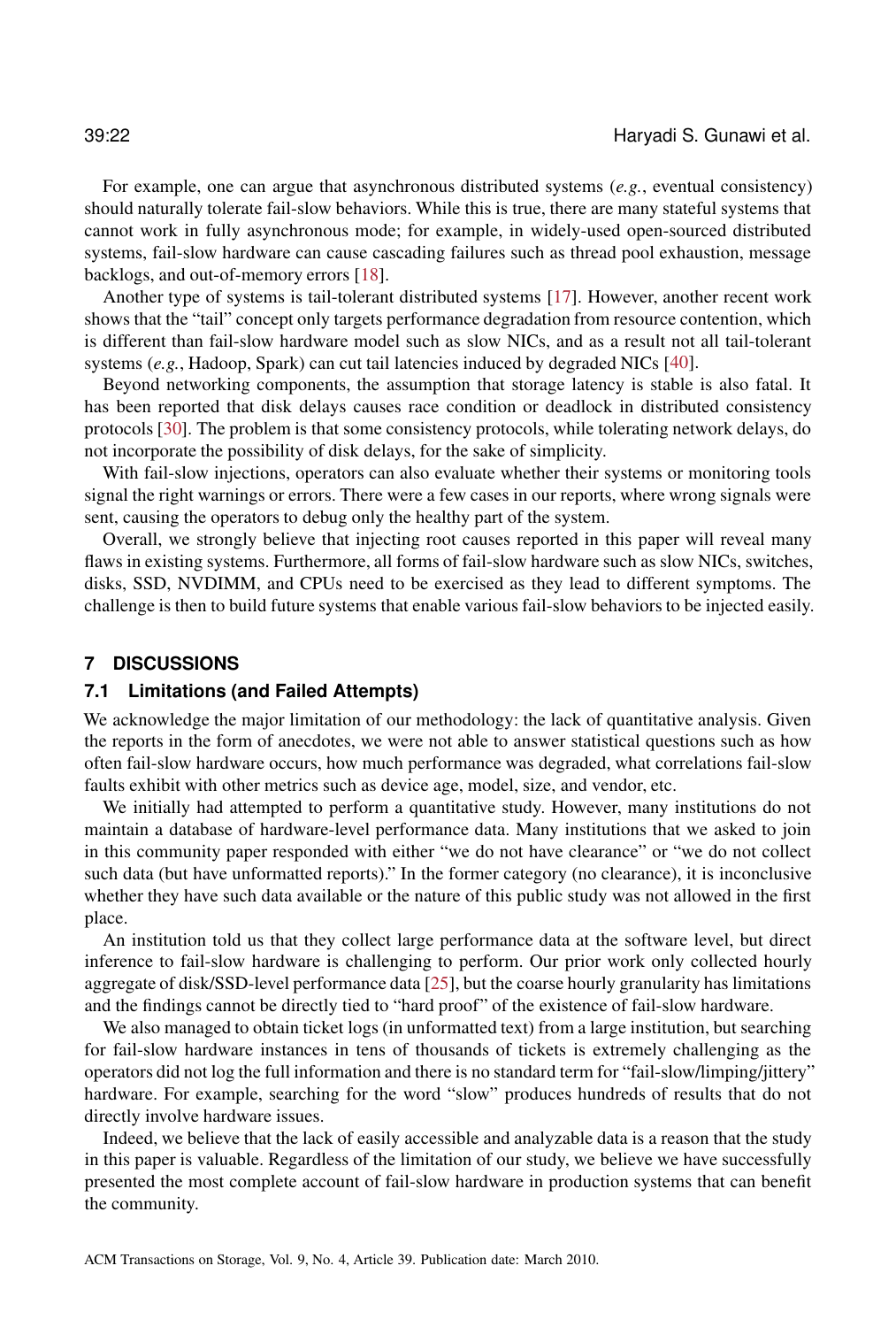For example, one can argue that asynchronous distributed systems (*e.g.*, eventual consistency) should naturally tolerate fail-slow behaviors. While this is true, there are many stateful systems that cannot work in fully asynchronous mode; for example, in widely-used open-sourced distributed systems, fail-slow hardware can cause cascading failures such as thread pool exhaustion, message backlogs, and out-of-memory errors [\[18\]](#page-24-7).

Another type of systems is tail-tolerant distributed systems [\[17\]](#page-24-17). However, another recent work shows that the "tail" concept only targets performance degradation from resource contention, which is different than fail-slow hardware model such as slow NICs, and as a result not all tail-tolerant systems (*e.g.*, Hadoop, Spark) can cut tail latencies induced by degraded NICs [\[40\]](#page-25-10).

Beyond networking components, the assumption that storage latency is stable is also fatal. It has been reported that disk delays causes race condition or deadlock in distributed consistency protocols [\[30\]](#page-25-19). The problem is that some consistency protocols, while tolerating network delays, do not incorporate the possibility of disk delays, for the sake of simplicity.

With fail-slow injections, operators can also evaluate whether their systems or monitoring tools signal the right warnings or errors. There were a few cases in our reports, where wrong signals were sent, causing the operators to debug only the healthy part of the system.

Overall, we strongly believe that injecting root causes reported in this paper will reveal many flaws in existing systems. Furthermore, all forms of fail-slow hardware such as slow NICs, switches, disks, SSD, NVDIMM, and CPUs need to be exercised as they lead to different symptoms. The challenge is then to build future systems that enable various fail-slow behaviors to be injected easily.

#### **7 DISCUSSIONS**

#### **7.1 Limitations (and Failed Attempts)**

We acknowledge the major limitation of our methodology: the lack of quantitative analysis. Given the reports in the form of anecdotes, we were not able to answer statistical questions such as how often fail-slow hardware occurs, how much performance was degraded, what correlations fail-slow faults exhibit with other metrics such as device age, model, size, and vendor, etc.

We initially had attempted to perform a quantitative study. However, many institutions do not maintain a database of hardware-level performance data. Many institutions that we asked to join in this community paper responded with either "we do not have clearance" or "we do not collect such data (but have unformatted reports)." In the former category (no clearance), it is inconclusive whether they have such data available or the nature of this public study was not allowed in the first place.

An institution told us that they collect large performance data at the software level, but direct inference to fail-slow hardware is challenging to perform. Our prior work only collected hourly aggregate of disk/SSD-level performance data [\[25\]](#page-25-20), but the coarse hourly granularity has limitations and the findings cannot be directly tied to "hard proof" of the existence of fail-slow hardware.

We also managed to obtain ticket logs (in unformatted text) from a large institution, but searching for fail-slow hardware instances in tens of thousands of tickets is extremely challenging as the operators did not log the full information and there is no standard term for "fail-slow/limping/jittery" hardware. For example, searching for the word "slow" produces hundreds of results that do not directly involve hardware issues.

Indeed, we believe that the lack of easily accessible and analyzable data is a reason that the study in this paper is valuable. Regardless of the limitation of our study, we believe we have successfully presented the most complete account of fail-slow hardware in production systems that can benefit the community.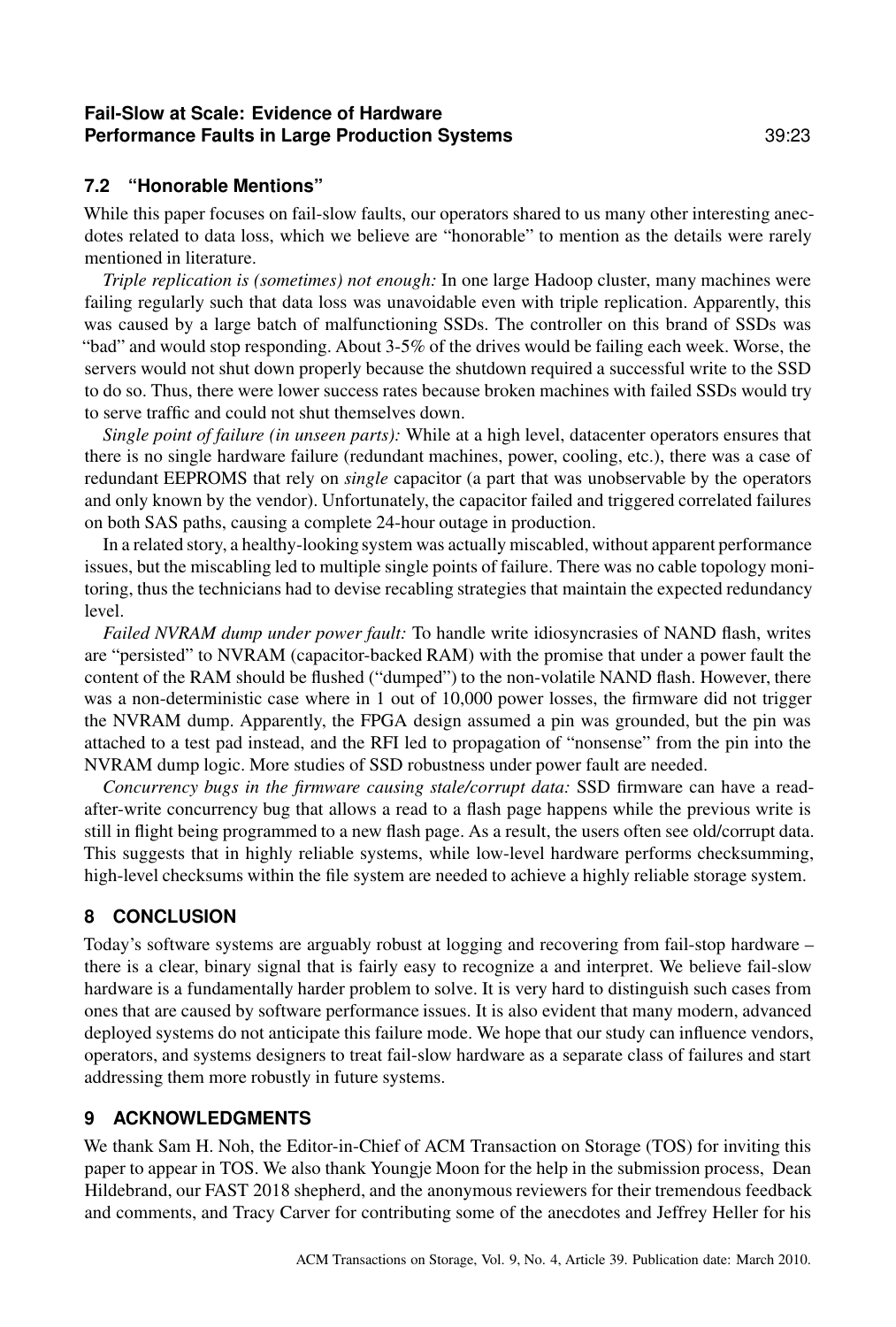## **7.2 "Honorable Mentions"**

While this paper focuses on fail-slow faults, our operators shared to us many other interesting anecdotes related to data loss, which we believe are "honorable" to mention as the details were rarely mentioned in literature.

*Triple replication is (sometimes) not enough:* In one large Hadoop cluster, many machines were failing regularly such that data loss was unavoidable even with triple replication. Apparently, this was caused by a large batch of malfunctioning SSDs. The controller on this brand of SSDs was "bad" and would stop responding. About 3-5% of the drives would be failing each week. Worse, the servers would not shut down properly because the shutdown required a successful write to the SSD to do so. Thus, there were lower success rates because broken machines with failed SSDs would try to serve traffic and could not shut themselves down.

*Single point of failure (in unseen parts):* While at a high level, datacenter operators ensures that there is no single hardware failure (redundant machines, power, cooling, etc.), there was a case of redundant EEPROMS that rely on *single* capacitor (a part that was unobservable by the operators and only known by the vendor). Unfortunately, the capacitor failed and triggered correlated failures on both SAS paths, causing a complete 24-hour outage in production.

In a related story, a healthy-looking system was actually miscabled, without apparent performance issues, but the miscabling led to multiple single points of failure. There was no cable topology monitoring, thus the technicians had to devise recabling strategies that maintain the expected redundancy level.

*Failed NVRAM dump under power fault:* To handle write idiosyncrasies of NAND flash, writes are "persisted" to NVRAM (capacitor-backed RAM) with the promise that under a power fault the content of the RAM should be flushed ("dumped") to the non-volatile NAND flash. However, there was a non-deterministic case where in 1 out of 10,000 power losses, the firmware did not trigger the NVRAM dump. Apparently, the FPGA design assumed a pin was grounded, but the pin was attached to a test pad instead, and the RFI led to propagation of "nonsense" from the pin into the NVRAM dump logic. More studies of SSD robustness under power fault are needed.

*Concurrency bugs in the firmware causing stale/corrupt data:* SSD firmware can have a readafter-write concurrency bug that allows a read to a flash page happens while the previous write is still in flight being programmed to a new flash page. As a result, the users often see old/corrupt data. This suggests that in highly reliable systems, while low-level hardware performs checksumming, high-level checksums within the file system are needed to achieve a highly reliable storage system.

## **8 CONCLUSION**

Today's software systems are arguably robust at logging and recovering from fail-stop hardware – there is a clear, binary signal that is fairly easy to recognize a and interpret. We believe fail-slow hardware is a fundamentally harder problem to solve. It is very hard to distinguish such cases from ones that are caused by software performance issues. It is also evident that many modern, advanced deployed systems do not anticipate this failure mode. We hope that our study can influence vendors, operators, and systems designers to treat fail-slow hardware as a separate class of failures and start addressing them more robustly in future systems.

## **9 ACKNOWLEDGMENTS**

We thank Sam H. Noh, the Editor-in-Chief of ACM Transaction on Storage (TOS) for inviting this paper to appear in TOS. We also thank Youngje Moon for the help in the submission process, Dean Hildebrand, our FAST 2018 shepherd, and the anonymous reviewers for their tremendous feedback and comments, and Tracy Carver for contributing some of the anecdotes and Jeffrey Heller for his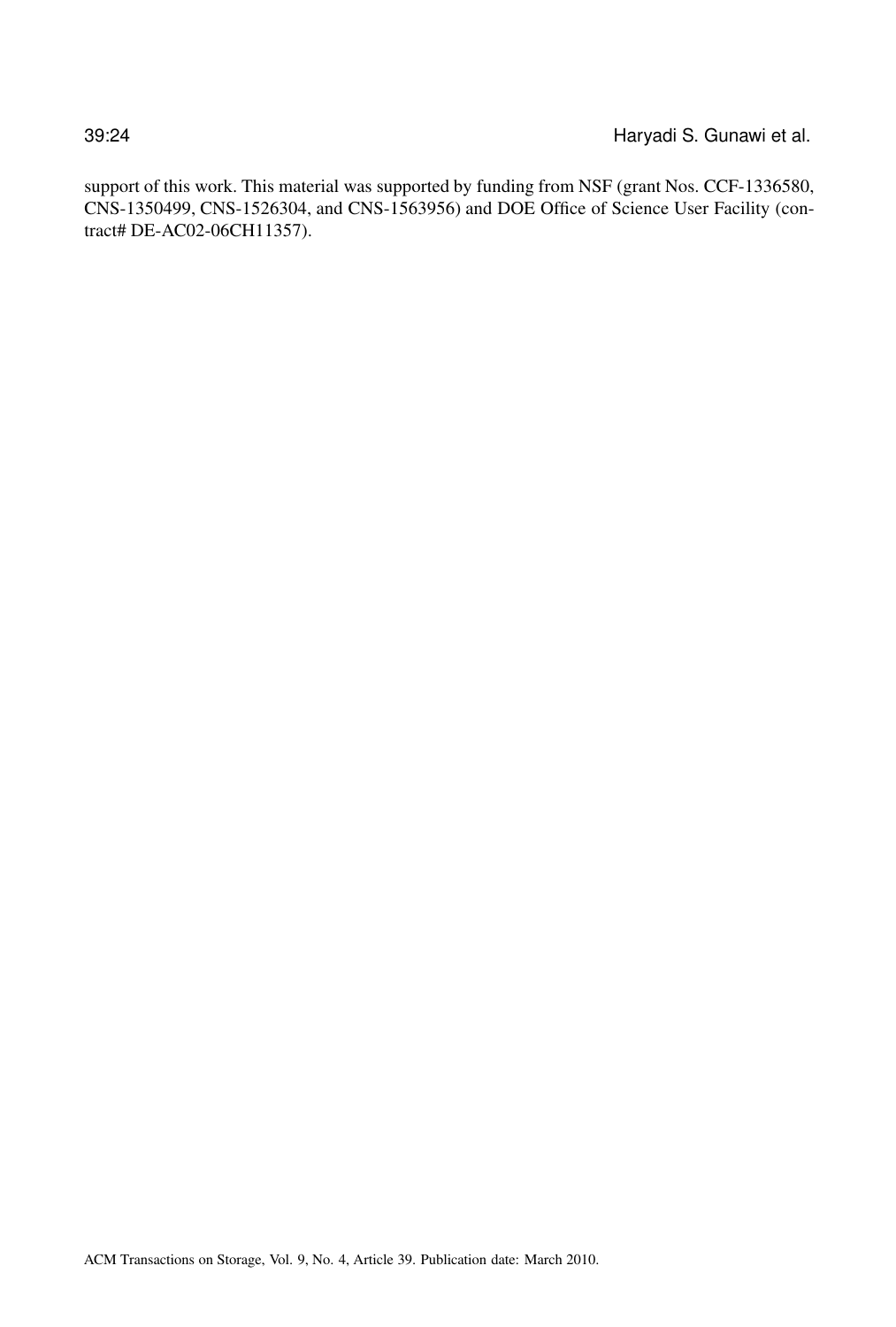support of this work. This material was supported by funding from NSF (grant Nos. CCF-1336580, CNS-1350499, CNS-1526304, and CNS-1563956) and DOE Office of Science User Facility (contract# DE-AC02-06CH11357).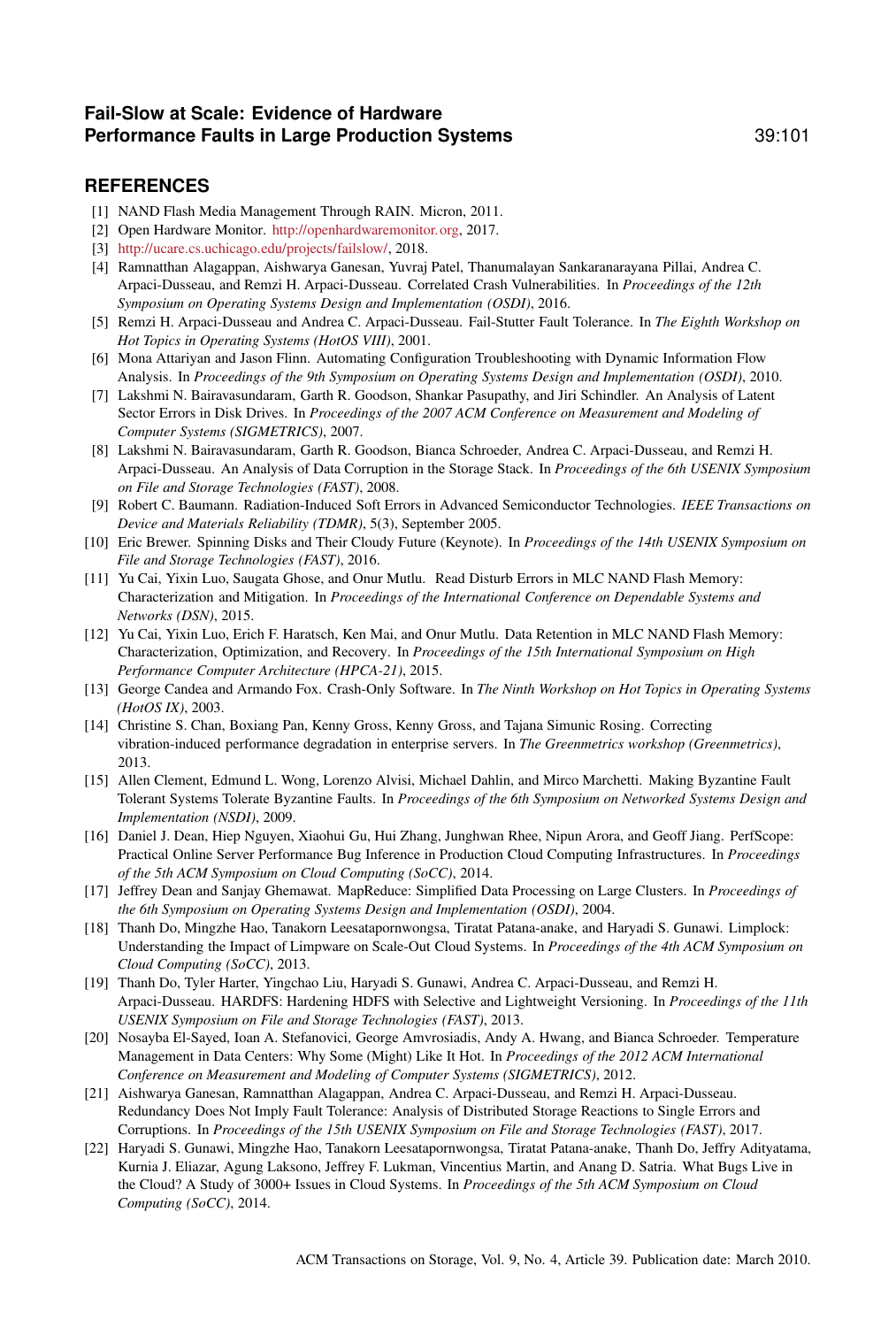#### **REFERENCES**

- <span id="page-24-12"></span>[1] NAND Flash Media Management Through RAIN. Micron, 2011.
- <span id="page-24-16"></span>[2] Open Hardware Monitor. [http://openhardwaremonitor.org,](http://openhardwaremonitor.org) 2017.
- <span id="page-24-9"></span>[3] [http://ucare.cs.uchicago.edu/projects/failslow/,](http://ucare.cs.uchicago.edu/projects/failslow/) 2018.
- <span id="page-24-0"></span>[4] Ramnatthan Alagappan, Aishwarya Ganesan, Yuvraj Patel, Thanumalayan Sankaranarayana Pillai, Andrea C. Arpaci-Dusseau, and Remzi H. Arpaci-Dusseau. Correlated Crash Vulnerabilities. In *Proceedings of the 12th Symposium on Operating Systems Design and Implementation (OSDI)*, 2016.
- <span id="page-24-6"></span>[5] Remzi H. Arpaci-Dusseau and Andrea C. Arpaci-Dusseau. Fail-Stutter Fault Tolerance. In *The Eighth Workshop on Hot Topics in Operating Systems (HotOS VIII)*, 2001.
- <span id="page-24-18"></span>[6] Mona Attariyan and Jason Flinn. Automating Configuration Troubleshooting with Dynamic Information Flow Analysis. In *Proceedings of the 9th Symposium on Operating Systems Design and Implementation (OSDI)*, 2010.
- <span id="page-24-1"></span>[7] Lakshmi N. Bairavasundaram, Garth R. Goodson, Shankar Pasupathy, and Jiri Schindler. An Analysis of Latent Sector Errors in Disk Drives. In *Proceedings of the 2007 ACM Conference on Measurement and Modeling of Computer Systems (SIGMETRICS)*, 2007.
- <span id="page-24-2"></span>[8] Lakshmi N. Bairavasundaram, Garth R. Goodson, Bianca Schroeder, Andrea C. Arpaci-Dusseau, and Remzi H. Arpaci-Dusseau. An Analysis of Data Corruption in the Storage Stack. In *Proceedings of the 6th USENIX Symposium on File and Storage Technologies (FAST)*, 2008.
- <span id="page-24-15"></span>[9] Robert C. Baumann. Radiation-Induced Soft Errors in Advanced Semiconductor Technologies. *IEEE Transactions on Device and Materials Reliability (TDMR)*, 5(3), September 2005.
- <span id="page-24-13"></span>[10] Eric Brewer. Spinning Disks and Their Cloudy Future (Keynote). In *Proceedings of the 14th USENIX Symposium on File and Storage Technologies (FAST)*, 2016.
- <span id="page-24-10"></span>[11] Yu Cai, Yixin Luo, Saugata Ghose, and Onur Mutlu. Read Disturb Errors in MLC NAND Flash Memory: Characterization and Mitigation. In *Proceedings of the International Conference on Dependable Systems and Networks (DSN)*, 2015.
- <span id="page-24-11"></span>[12] Yu Cai, Yixin Luo, Erich F. Haratsch, Ken Mai, and Onur Mutlu. Data Retention in MLC NAND Flash Memory: Characterization, Optimization, and Recovery. In *Proceedings of the 15th International Symposium on High Performance Computer Architecture (HPCA-21)*, 2015.
- <span id="page-24-20"></span>[13] George Candea and Armando Fox. Crash-Only Software. In *The Ninth Workshop on Hot Topics in Operating Systems (HotOS IX)*, 2003.
- <span id="page-24-21"></span>[14] Christine S. Chan, Boxiang Pan, Kenny Gross, Kenny Gross, and Tajana Simunic Rosing. Correcting vibration-induced performance degradation in enterprise servers. In *The Greenmetrics workshop (Greenmetrics)*, 2013.
- <span id="page-24-5"></span>[15] Allen Clement, Edmund L. Wong, Lorenzo Alvisi, Michael Dahlin, and Mirco Marchetti. Making Byzantine Fault Tolerant Systems Tolerate Byzantine Faults. In *Proceedings of the 6th Symposium on Networked Systems Design and Implementation (NSDI)*, 2009.
- <span id="page-24-19"></span>[16] Daniel J. Dean, Hiep Nguyen, Xiaohui Gu, Hui Zhang, Junghwan Rhee, Nipun Arora, and Geoff Jiang. PerfScope: Practical Online Server Performance Bug Inference in Production Cloud Computing Infrastructures. In *Proceedings of the 5th ACM Symposium on Cloud Computing (SoCC)*, 2014.
- <span id="page-24-17"></span>[17] Jeffrey Dean and Sanjay Ghemawat. MapReduce: Simplified Data Processing on Large Clusters. In *Proceedings of the 6th Symposium on Operating Systems Design and Implementation (OSDI)*, 2004.
- <span id="page-24-7"></span>[18] Thanh Do, Mingzhe Hao, Tanakorn Leesatapornwongsa, Tiratat Patana-anake, and Haryadi S. Gunawi. Limplock: Understanding the Impact of Limpware on Scale-Out Cloud Systems. In *Proceedings of the 4th ACM Symposium on Cloud Computing (SoCC)*, 2013.
- <span id="page-24-3"></span>[19] Thanh Do, Tyler Harter, Yingchao Liu, Haryadi S. Gunawi, Andrea C. Arpaci-Dusseau, and Remzi H. Arpaci-Dusseau. HARDFS: Hardening HDFS with Selective and Lightweight Versioning. In *Proceedings of the 11th USENIX Symposium on File and Storage Technologies (FAST)*, 2013.
- <span id="page-24-14"></span>[20] Nosayba El-Sayed, Ioan A. Stefanovici, George Amvrosiadis, Andy A. Hwang, and Bianca Schroeder. Temperature Management in Data Centers: Why Some (Might) Like It Hot. In *Proceedings of the 2012 ACM International Conference on Measurement and Modeling of Computer Systems (SIGMETRICS)*, 2012.
- <span id="page-24-4"></span>[21] Aishwarya Ganesan, Ramnatthan Alagappan, Andrea C. Arpaci-Dusseau, and Remzi H. Arpaci-Dusseau. Redundancy Does Not Imply Fault Tolerance: Analysis of Distributed Storage Reactions to Single Errors and Corruptions. In *Proceedings of the 15th USENIX Symposium on File and Storage Technologies (FAST)*, 2017.
- <span id="page-24-8"></span>[22] Haryadi S. Gunawi, Mingzhe Hao, Tanakorn Leesatapornwongsa, Tiratat Patana-anake, Thanh Do, Jeffry Adityatama, Kurnia J. Eliazar, Agung Laksono, Jeffrey F. Lukman, Vincentius Martin, and Anang D. Satria. What Bugs Live in the Cloud? A Study of 3000+ Issues in Cloud Systems. In *Proceedings of the 5th ACM Symposium on Cloud Computing (SoCC)*, 2014.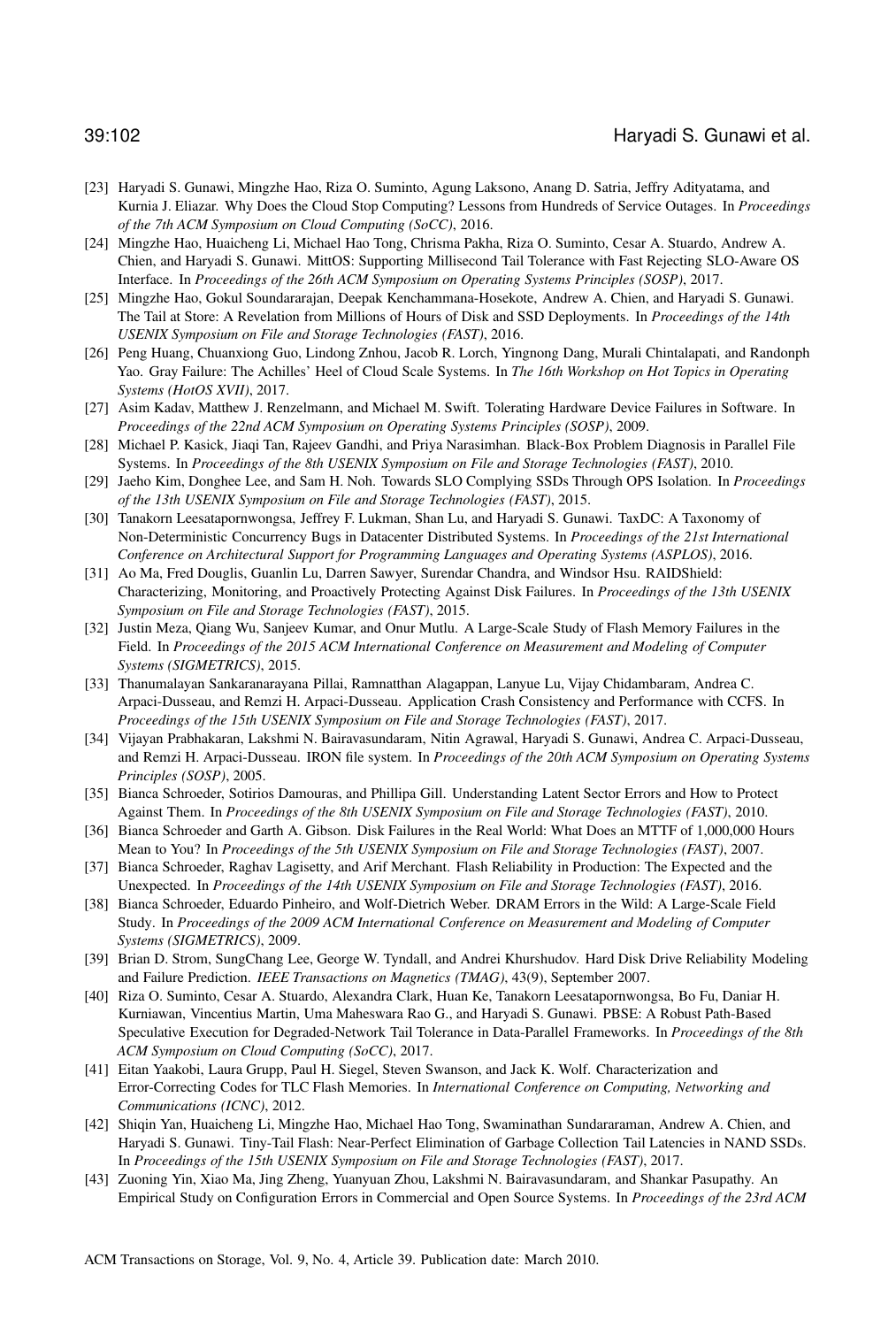- <span id="page-25-0"></span>[23] Haryadi S. Gunawi, Mingzhe Hao, Riza O. Suminto, Agung Laksono, Anang D. Satria, Jeffry Adityatama, and Kurnia J. Eliazar. Why Does the Cloud Stop Computing? Lessons from Hundreds of Service Outages. In *Proceedings of the 7th ACM Symposium on Cloud Computing (SoCC)*, 2016.
- <span id="page-25-13"></span>[24] Mingzhe Hao, Huaicheng Li, Michael Hao Tong, Chrisma Pakha, Riza O. Suminto, Cesar A. Stuardo, Andrew A. Chien, and Haryadi S. Gunawi. MittOS: Supporting Millisecond Tail Tolerance with Fast Rejecting SLO-Aware OS Interface. In *Proceedings of the 26th ACM Symposium on Operating Systems Principles (SOSP)*, 2017.
- <span id="page-25-20"></span>[25] Mingzhe Hao, Gokul Soundararajan, Deepak Kenchammana-Hosekote, Andrew A. Chien, and Haryadi S. Gunawi. The Tail at Store: A Revelation from Millions of Hours of Disk and SSD Deployments. In *Proceedings of the 14th USENIX Symposium on File and Storage Technologies (FAST)*, 2016.
- <span id="page-25-8"></span>[26] Peng Huang, Chuanxiong Guo, Lindong Znhou, Jacob R. Lorch, Yingnong Dang, Murali Chintalapati, and Randonph Yao. Gray Failure: The Achilles' Heel of Cloud Scale Systems. In *The 16th Workshop on Hot Topics in Operating Systems (HotOS XVII)*, 2017.
- <span id="page-25-6"></span>[27] Asim Kadav, Matthew J. Renzelmann, and Michael M. Swift. Tolerating Hardware Device Failures in Software. In *Proceedings of the 22nd ACM Symposium on Operating Systems Principles (SOSP)*, 2009.
- <span id="page-25-9"></span>[28] Michael P. Kasick, Jiaqi Tan, Rajeev Gandhi, and Priya Narasimhan. Black-Box Problem Diagnosis in Parallel File Systems. In *Proceedings of the 8th USENIX Symposium on File and Storage Technologies (FAST)*, 2010.
- <span id="page-25-14"></span>[29] Jaeho Kim, Donghee Lee, and Sam H. Noh. Towards SLO Complying SSDs Through OPS Isolation. In *Proceedings of the 13th USENIX Symposium on File and Storage Technologies (FAST)*, 2015.
- <span id="page-25-19"></span>[30] Tanakorn Leesatapornwongsa, Jeffrey F. Lukman, Shan Lu, and Haryadi S. Gunawi. TaxDC: A Taxonomy of Non-Deterministic Concurrency Bugs in Datacenter Distributed Systems. In *Proceedings of the 21st International Conference on Architectural Support for Programming Languages and Operating Systems (ASPLOS)*, 2016.
- <span id="page-25-1"></span>[31] Ao Ma, Fred Douglis, Guanlin Lu, Darren Sawyer, Surendar Chandra, and Windsor Hsu. RAIDShield: Characterizing, Monitoring, and Proactively Protecting Against Disk Failures. In *Proceedings of the 13th USENIX Symposium on File and Storage Technologies (FAST)*, 2015.
- <span id="page-25-15"></span>[32] Justin Meza, Qiang Wu, Sanjeev Kumar, and Onur Mutlu. A Large-Scale Study of Flash Memory Failures in the Field. In *Proceedings of the 2015 ACM International Conference on Measurement and Modeling of Computer Systems (SIGMETRICS)*, 2015.
- <span id="page-25-2"></span>[33] Thanumalayan Sankaranarayana Pillai, Ramnatthan Alagappan, Lanyue Lu, Vijay Chidambaram, Andrea C. Arpaci-Dusseau, and Remzi H. Arpaci-Dusseau. Application Crash Consistency and Performance with CCFS. In *Proceedings of the 15th USENIX Symposium on File and Storage Technologies (FAST)*, 2017.
- <span id="page-25-4"></span>[34] Vijayan Prabhakaran, Lakshmi N. Bairavasundaram, Nitin Agrawal, Haryadi S. Gunawi, Andrea C. Arpaci-Dusseau, and Remzi H. Arpaci-Dusseau. IRON file system. In *Proceedings of the 20th ACM Symposium on Operating Systems Principles (SOSP)*, 2005.
- <span id="page-25-5"></span>[35] Bianca Schroeder, Sotirios Damouras, and Phillipa Gill. Understanding Latent Sector Errors and How to Protect Against Them. In *Proceedings of the 8th USENIX Symposium on File and Storage Technologies (FAST)*, 2010.
- <span id="page-25-3"></span>[36] Bianca Schroeder and Garth A. Gibson. Disk Failures in the Real World: What Does an MTTF of 1,000,000 Hours Mean to You? In *Proceedings of the 5th USENIX Symposium on File and Storage Technologies (FAST)*, 2007.
- <span id="page-25-7"></span>[37] Bianca Schroeder, Raghav Lagisetty, and Arif Merchant. Flash Reliability in Production: The Expected and the Unexpected. In *Proceedings of the 14th USENIX Symposium on File and Storage Technologies (FAST)*, 2016.
- <span id="page-25-17"></span>[38] Bianca Schroeder, Eduardo Pinheiro, and Wolf-Dietrich Weber. DRAM Errors in the Wild: A Large-Scale Field Study. In *Proceedings of the 2009 ACM International Conference on Measurement and Modeling of Computer Systems (SIGMETRICS)*, 2009.
- <span id="page-25-16"></span>[39] Brian D. Strom, SungChang Lee, George W. Tyndall, and Andrei Khurshudov. Hard Disk Drive Reliability Modeling and Failure Prediction. *IEEE Transactions on Magnetics (TMAG)*, 43(9), September 2007.
- <span id="page-25-10"></span>[40] Riza O. Suminto, Cesar A. Stuardo, Alexandra Clark, Huan Ke, Tanakorn Leesatapornwongsa, Bo Fu, Daniar H. Kurniawan, Vincentius Martin, Uma Maheswara Rao G., and Haryadi S. Gunawi. PBSE: A Robust Path-Based Speculative Execution for Degraded-Network Tail Tolerance in Data-Parallel Frameworks. In *Proceedings of the 8th ACM Symposium on Cloud Computing (SoCC)*, 2017.
- <span id="page-25-12"></span>[41] Eitan Yaakobi, Laura Grupp, Paul H. Siegel, Steven Swanson, and Jack K. Wolf. Characterization and Error-Correcting Codes for TLC Flash Memories. In *International Conference on Computing, Networking and Communications (ICNC)*, 2012.
- <span id="page-25-11"></span>[42] Shiqin Yan, Huaicheng Li, Mingzhe Hao, Michael Hao Tong, Swaminathan Sundararaman, Andrew A. Chien, and Haryadi S. Gunawi. Tiny-Tail Flash: Near-Perfect Elimination of Garbage Collection Tail Latencies in NAND SSDs. In *Proceedings of the 15th USENIX Symposium on File and Storage Technologies (FAST)*, 2017.
- <span id="page-25-18"></span>[43] Zuoning Yin, Xiao Ma, Jing Zheng, Yuanyuan Zhou, Lakshmi N. Bairavasundaram, and Shankar Pasupathy. An Empirical Study on Configuration Errors in Commercial and Open Source Systems. In *Proceedings of the 23rd ACM*